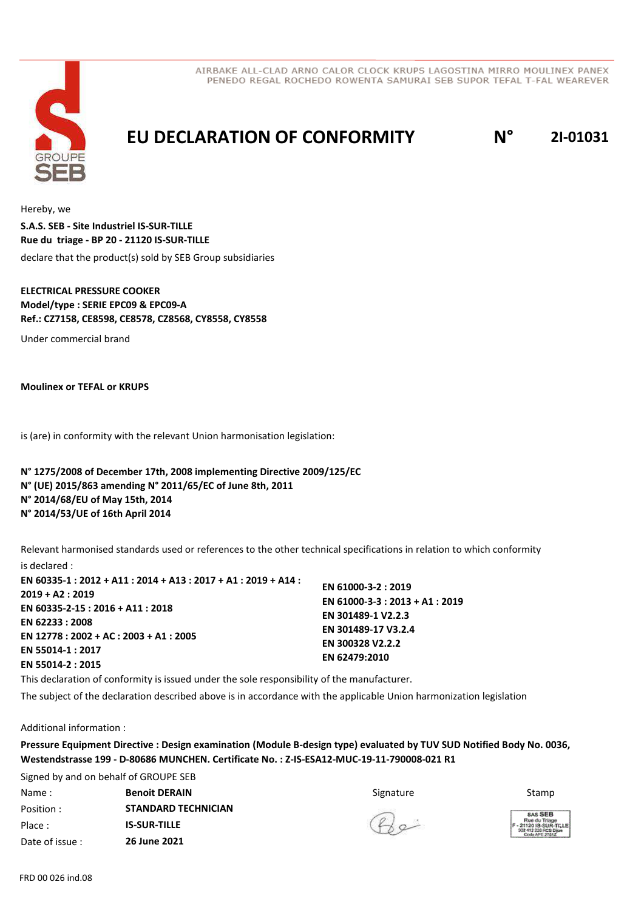



**EU DECLARATION OF CONFORMITY N° 2I-01031**

Hereby, we declare that the product(s) sold by SEB Group subsidiaries **S.A.S. SEB - Site Industriel IS-SUR-TILLE Rue du triage - BP 20 - 21120 IS-SUR-TILLE**

#### **ELECTRICAL PRESSURE COOKER Model/type : SERIE EPC09 & EPC09-A Ref.: CZ7158, CE8598, CE8578, CZ8568, CY8558, CY8558**

Under commercial brand

**Moulinex or TEFAL or KRUPS**

is (are) in conformity with the relevant Union harmonisation legislation:

### **N° 1275/2008 of December 17th, 2008 implementing Directive 2009/125/EC N° (UE) 2015/863 amending N° 2011/65/EC of June 8th, 2011 N° 2014/68/EU of May 15th, 2014 N° 2014/53/UE of 16th April 2014**

Relevant harmonised standards used or references to the other technical specifications in relation to which conformity is declared :

| EN 60335-1 : 2012 + A11 : 2014 + A13 : 2017 + A1 : 2019 + A14 : |                                 |
|-----------------------------------------------------------------|---------------------------------|
| $2019 + A2: 2019$                                               | EN 61000-3-2: 2019              |
| EN 60335-2-15 : 2016 + A11 : 2018                               | EN 61000-3-3 : 2013 + A1 : 2019 |
| EN 62233:2008                                                   | EN 301489-1 V2.2.3              |
|                                                                 | EN 301489-17 V3.2.4             |
| EN 12778 : 2002 + AC : 2003 + A1 : 2005                         | EN 300328 V2.2.2                |
| EN 55014-1:2017                                                 | EN 62479:2010                   |
| EN 55014-2: 2015                                                |                                 |

This declaration of conformity is issued under the sole responsibility of the manufacturer.

The subject of the declaration described above is in accordance with the applicable Union harmonization legislation

Additional information :

**Pressure Equipment Directive : Design examination (Module B-design type) evaluated by TUV SUD Notified Body No. 0036, Westendstrasse 199 - D-80686 MUNCHEN. Certificate No. : Z-IS-ESA12-MUC-19-11-790008-021 R1**

Signed by and on behalf of GROUPE SEB Name: Signature **Benoit DERAIN BALL CONTAINAGE SECUTE SE** Position : Place : Date of issue : **IS-SUR-TILLE STANDARD TECHNICIAN 26 June 2021**

Stamp

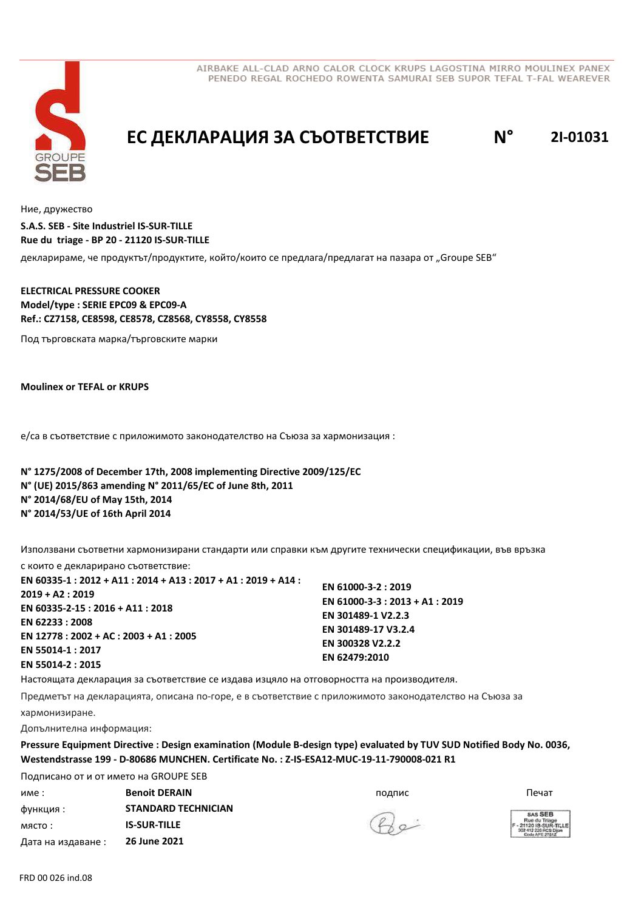



## **EC ДЕКЛАРАЦИЯ ЗА СЪОТВЕТСТВИЕ N° 2I-01031**

Ние, дружество

**S.A.S. SEB - Site Industriel IS-SUR-TILLE Rue du triage - BP 20 - 21120 IS-SUR-TILLE**

декларираме, че продуктът/продуктите, който/които се предлага/предлагат на пазара от "Groupe SEB"

**ELECTRICAL PRESSURE COOKER Model/type : SERIE EPC09 & EPC09-A Ref.: CZ7158, CE8598, CE8578, CZ8568, CY8558, CY8558**

Под търговската марка/търговските марки

**Moulinex or TEFAL or KRUPS**

е/са в съответствие с приложимото законодателство на Съюза за хармонизация :

**N° 1275/2008 of December 17th, 2008 implementing Directive 2009/125/EC N° (UE) 2015/863 amending N° 2011/65/EC of June 8th, 2011 N° 2014/68/EU of May 15th, 2014 N° 2014/53/UE of 16th April 2014**

Използвани съответни хармонизирани стандарти или справки към другите технически спецификации, във връзка

с които е декларирано съответствие: **EN 60335-1 : 2012 + A11 : 2014 + A13 : 2017 + A1 : 2019 + A14 : 2019 + A2 : 2019 EN 60335-2-15 : 2016 + A11 : 2018 EN 62233 : 2008 EN 12778 : 2002 + AC : 2003 + A1 : 2005 EN 55014-1 : 2017 EN 55014-2 : 2015 EN 61000-3-2 : 2019 EN 61000-3-3 : 2013 + A1 : 2019 EN 301489-1 V2.2.3 EN 301489-17 V3.2.4 EN 300328 V2.2.2 EN 62479:2010**

Настоящата декларация за съответствие се издава изцяло на отговорността на производителя.

Предметът на декларацията, описана по-горе, е в съответствие с приложимото законодателство на Съюза за

хармонизиране.

Допълнителна информация:

**Pressure Equipment Directive : Design examination (Module B-design type) evaluated by TUV SUD Notified Body No. 0036, Westendstrasse 199 - D-80686 MUNCHEN. Certificate No. : Z-IS-ESA12-MUC-19-11-790008-021 R1**

име : подпис **Benoit DERAIN** Печат функция : място : Дата на издаване : Подписано от и от името на GROUPE SEB **STANDARD TECHNICIAN IS-SUR-TILLE 26 June 2021**



SAS SER ue du Triage<br>2018-SUR-T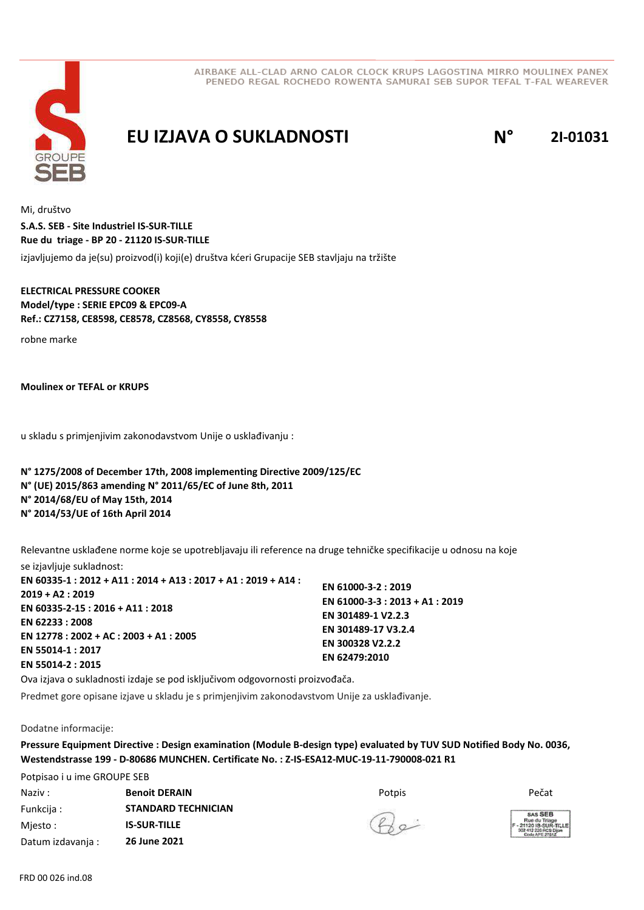

### **EU IZJAVA O SUKLADNOSTI N° 2I-01031**

Mi, društvo izjavljujemo da je(su) proizvod(i) koji(e) društva kćeri Grupacije SEB stavljaju na tržište **S.A.S. SEB - Site Industriel IS-SUR-TILLE Rue du triage - BP 20 - 21120 IS-SUR-TILLE**

**ELECTRICAL PRESSURE COOKER Model/type : SERIE EPC09 & EPC09-A Ref.: CZ7158, CE8598, CE8578, CZ8568, CY8558, CY8558**

robne marke

**Moulinex or TEFAL or KRUPS**

u skladu s primjenjivim zakonodavstvom Unije o usklađivanju :

**N° 1275/2008 of December 17th, 2008 implementing Directive 2009/125/EC N° (UE) 2015/863 amending N° 2011/65/EC of June 8th, 2011 N° 2014/68/EU of May 15th, 2014 N° 2014/53/UE of 16th April 2014**

Relevantne usklađene norme koje se upotrebljavaju ili reference na druge tehničke specifikacije u odnosu na koje

se izjavljuje sukladnost: **EN 60335-1 : 2012 + A11 : 2014 + A13 : 2017 + A1 : 2019 + A14 : 2019 + A2 : 2019 EN 60335-2-15 : 2016 + A11 : 2018 EN 62233 : 2008 EN 12778 : 2002 + AC : 2003 + A1 : 2005 EN 55014-1 : 2017 EN 55014-2 : 2015 EN 61000-3-2 : 2019 EN 61000-3-3 : 2013 + A1 : 2019 EN 301489-1 V2.2.3 EN 301489-17 V3.2.4 EN 300328 V2.2.2 EN 62479:2010**

Ova izjava o sukladnosti izdaje se pod isključivom odgovornosti proizvođača.

Predmet gore opisane izjave u skladu je s primjenjivim zakonodavstvom Unije za usklađivanje.

Dodatne informacije:

**Pressure Equipment Directive : Design examination (Module B-design type) evaluated by TUV SUD Notified Body No. 0036, Westendstrasse 199 - D-80686 MUNCHEN. Certificate No. : Z-IS-ESA12-MUC-19-11-790008-021 R1**

Potpisao i u ime GROUPE SEB Naziv : Potpis **Benoit DERAIN** Pečat Funkcija : Mjesto : Datum izdavanja : **STANDARD TECHNICIAN IS-SUR-TILLE 26 June 2021**

SAS SER xe du Triage<br>20 IS-SUR-T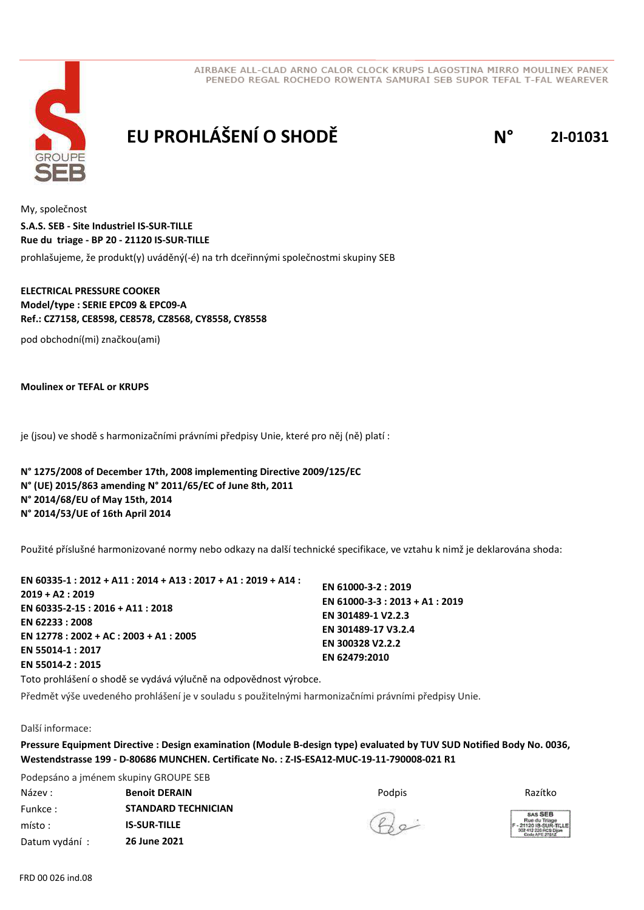



# **EU PROHLÁŠENÍ O SHODĚ N° 2I-01031**

My, společnost prohlašujeme, že produkt(y) uváděný(-é) na trh dceřinnými společnostmi skupiny SEB **S.A.S. SEB - Site Industriel IS-SUR-TILLE Rue du triage - BP 20 - 21120 IS-SUR-TILLE**

### **ELECTRICAL PRESSURE COOKER Model/type : SERIE EPC09 & EPC09-A Ref.: CZ7158, CE8598, CE8578, CZ8568, CY8558, CY8558**

pod obchodní(mi) značkou(ami)

**Moulinex or TEFAL or KRUPS**

je (jsou) ve shodě s harmonizačními právními předpisy Unie, které pro něj (ně) platí :

**N° 1275/2008 of December 17th, 2008 implementing Directive 2009/125/EC N° (UE) 2015/863 amending N° 2011/65/EC of June 8th, 2011 N° 2014/68/EU of May 15th, 2014 N° 2014/53/UE of 16th April 2014**

Použité příslušné harmonizované normy nebo odkazy na další technické specifikace, ve vztahu k nimž je deklarována shoda:

| EN 60335-1 : 2012 + A11 : 2014 + A13 : 2017 + A1 : 2019 + A14 : |                                 |
|-----------------------------------------------------------------|---------------------------------|
| $2019 + A2:2019$                                                | EN 61000-3-2: 2019              |
| EN 60335-2-15 : 2016 + A11 : 2018                               | EN 61000-3-3 : 2013 + A1 : 2019 |
|                                                                 | EN 301489-1 V2.2.3              |
| EN 62233 : 2008                                                 | EN 301489-17 V3.2.4             |
| EN 12778 : 2002 + AC : 2003 + A1 : 2005                         | EN 300328 V2.2.2                |
| EN 55014-1:2017                                                 | EN 62479:2010                   |
| EN 55014-2 : 2015                                               |                                 |
|                                                                 |                                 |

Toto prohlášení o shodě se vydává výlučně na odpovědnost výrobce.

Předmět výše uvedeného prohlášení je v souladu s použitelnými harmonizačními právními předpisy Unie.

#### Další informace:

**Pressure Equipment Directive : Design examination (Module B-design type) evaluated by TUV SUD Notified Body No. 0036, Westendstrasse 199 - D-80686 MUNCHEN. Certificate No. : Z-IS-ESA12-MUC-19-11-790008-021 R1**

Podepsáno a jménem skupiny GROUPE SEB Název : Podpis **Benoit DERAIN** Razítko Funkce : místo : Datum vydání : **STANDARD TECHNICIAN IS-SUR-TILLE 26 June 2021**

 $Q_{\alpha}$ 

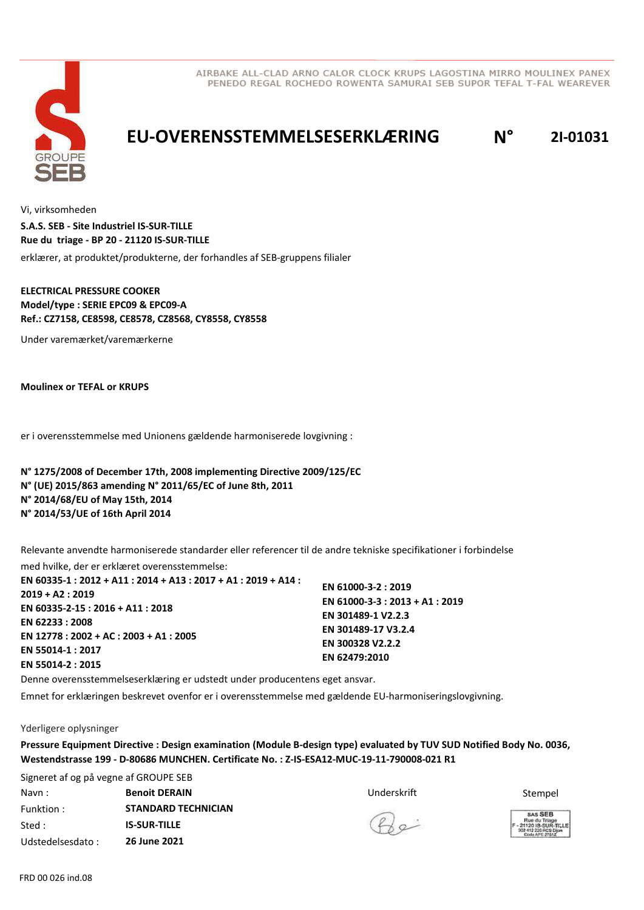

## **EU-OVERENSSTEMMELSESERKLÆRING N° 2I-01031**

Vi, virksomheden

erklærer, at produktet/produkterne, der forhandles af SEB-gruppens filialer **S.A.S. SEB - Site Industriel IS-SUR-TILLE Rue du triage - BP 20 - 21120 IS-SUR-TILLE**

**ELECTRICAL PRESSURE COOKER Model/type : SERIE EPC09 & EPC09-A Ref.: CZ7158, CE8598, CE8578, CZ8568, CY8558, CY8558**

Under varemærket/varemærkerne

**Moulinex or TEFAL or KRUPS**

er i overensstemmelse med Unionens gældende harmoniserede lovgivning :

**N° 1275/2008 of December 17th, 2008 implementing Directive 2009/125/EC N° (UE) 2015/863 amending N° 2011/65/EC of June 8th, 2011 N° 2014/68/EU of May 15th, 2014 N° 2014/53/UE of 16th April 2014**

Relevante anvendte harmoniserede standarder eller referencer til de andre tekniske specifikationer i forbindelse

med hvilke, der er erklæret overensstemmelse: **EN 60335-1 : 2012 + A11 : 2014 + A13 : 2017 + A1 : 2019 + A14 : 2019 + A2 : 2019 EN 60335-2-15 : 2016 + A11 : 2018 EN 62233 : 2008 EN 12778 : 2002 + AC : 2003 + A1 : 2005 EN 55014-1 : 2017 EN 55014-2 : 2015 EN 61000-3-2 : 2019 EN 61000-3-3 : 2013 + A1 : 2019 EN 301489-1 V2.2.3 EN 301489-17 V3.2.4 EN 300328 V2.2.2 EN 62479:2010**

Denne overensstemmelseserklæring er udstedt under producentens eget ansvar.

Emnet for erklæringen beskrevet ovenfor er i overensstemmelse med gældende EU-harmoniseringslovgivning.

Yderligere oplysninger

**Pressure Equipment Directive : Design examination (Module B-design type) evaluated by TUV SUD Notified Body No. 0036, Westendstrasse 199 - D-80686 MUNCHEN. Certificate No. : Z-IS-ESA12-MUC-19-11-790008-021 R1**

Signeret af og på vegne af GROUPE SEB Navn : **Benoit DERAIN BENAIN BENAIN BENAIN Stempel BENAIN Stempel** Funktion : Sted : Udstedelsesdato : **STANDARD TECHNICIAN IS-SUR-TILLE 26 June 2021**

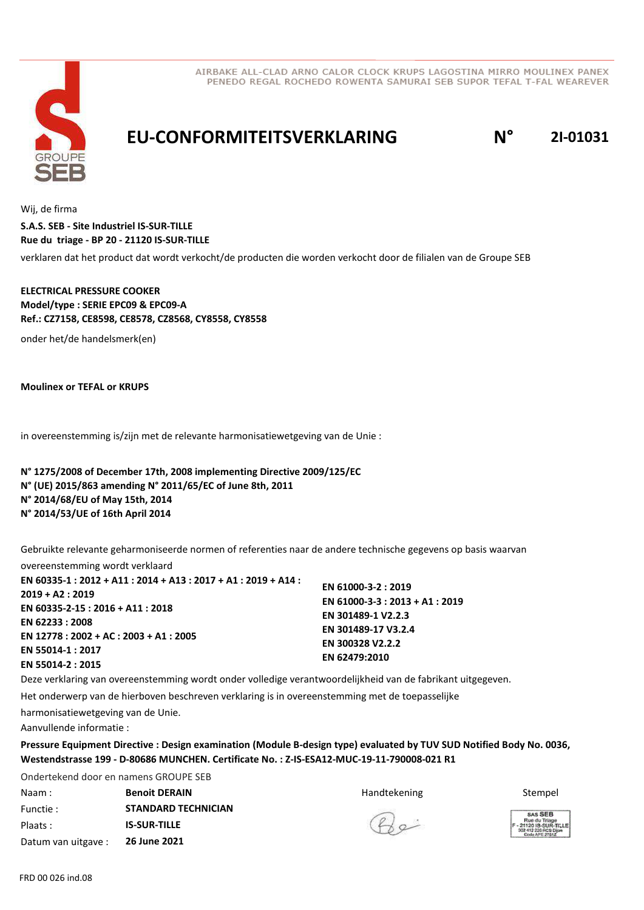

**EU-CONFORMITEITSVERKLARING N° 2I-01031**

Wij, de firma

**S.A.S. SEB - Site Industriel IS-SUR-TILLE Rue du triage - BP 20 - 21120 IS-SUR-TILLE**

verklaren dat het product dat wordt verkocht/de producten die worden verkocht door de filialen van de Groupe SEB

### **ELECTRICAL PRESSURE COOKER Model/type : SERIE EPC09 & EPC09-A Ref.: CZ7158, CE8598, CE8578, CZ8568, CY8558, CY8558**

onder het/de handelsmerk(en)

**Moulinex or TEFAL or KRUPS**

in overeenstemming is/zijn met de relevante harmonisatiewetgeving van de Unie :

**N° 1275/2008 of December 17th, 2008 implementing Directive 2009/125/EC N° (UE) 2015/863 amending N° 2011/65/EC of June 8th, 2011 N° 2014/68/EU of May 15th, 2014 N° 2014/53/UE of 16th April 2014**

Gebruikte relevante geharmoniseerde normen of referenties naar de andere technische gegevens op basis waarvan

overeenstemming wordt verklaard

| EN 60335-1 : 2012 + A11 : 2014 + A13 : 2017 + A1 : 2019 + A14 : |                                 |
|-----------------------------------------------------------------|---------------------------------|
| $2019 + A2: 2019$                                               | EN 61000-3-2: 2019              |
|                                                                 | EN 61000-3-3 : 2013 + A1 : 2019 |
| EN 60335-2-15 : 2016 + A11 : 2018                               | EN 301489-1 V2.2.3              |
| EN 62233:2008                                                   | EN 301489-17 V3.2.4             |
| EN 12778 : 2002 + AC : 2003 + A1 : 2005                         |                                 |
| EN 55014-1 : 2017                                               | EN 300328 V2.2.2                |
|                                                                 | EN 62479:2010                   |
| EN 55014-2 : 2015                                               |                                 |

Deze verklaring van overeenstemming wordt onder volledige verantwoordelijkheid van de fabrikant uitgegeven.

Het onderwerp van de hierboven beschreven verklaring is in overeenstemming met de toepasselijke

harmonisatiewetgeving van de Unie.

Aanvullende informatie :

**Pressure Equipment Directive : Design examination (Module B-design type) evaluated by TUV SUD Notified Body No. 0036, Westendstrasse 199 - D-80686 MUNCHEN. Certificate No. : Z-IS-ESA12-MUC-19-11-790008-021 R1**

Ondertekend door en namens GROUPE SEB Naam : **Benoit DERAIN Subset of the Stempel Stempel** Books and the Handtekening Stempel Stempel Functie : Plaats : Datum van uitgave : **STANDARD TECHNICIAN IS-SUR-TILLE 26 June 2021**

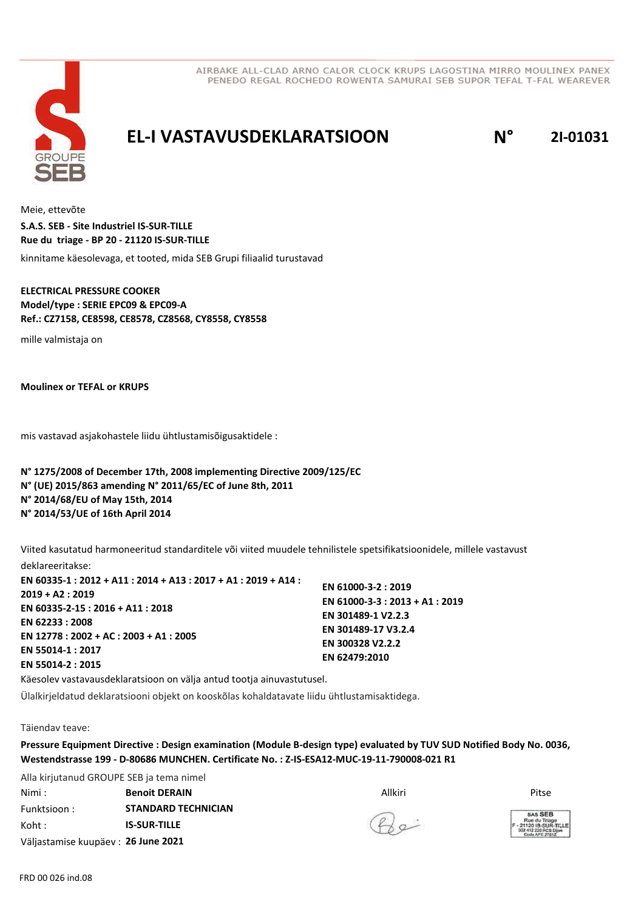

### **EL-I VASTAVUSDEKLARATSIOON N° 2I-01031**

Meie, ettevõte kinnitame käesolevaga, et tooted, mida SEB Grupi filiaalid turustavad **S.A.S. SEB - Site Industriel IS-SUR-TILLE Rue du triage - BP 20 - 21120 IS-SUR-TILLE**

**ELECTRICAL PRESSURE COOKER Model/type : SERIE EPC09 & EPC09-A Ref.: CZ7158, CE8598, CE8578, CZ8568, CY8558, CY8558**

mille valmistaja on

**Moulinex or TEFAL or KRUPS**

mis vastavad asjakohastele liidu ühtlustamisõigusaktidele :

**N° 1275/2008 of December 17th, 2008 implementing Directive 2009/125/EC N° (UE) 2015/863 amending N° 2011/65/EC of June 8th, 2011 N° 2014/68/EU of May 15th, 2014 N° 2014/53/UE of 16th April 2014**

Viited kasutatud harmoneeritud standarditele või viited muudele tehnilistele spetsifikatsioonidele, millele vastavust deklareeritakse:

**EN 60335-1 : 2012 + A11 : 2014 + A13 : 2017 + A1 : 2019 + A14 : 2019 + A2 : 2019 EN 60335-2-15 : 2016 + A11 : 2018 EN 62233 : 2008 EN 12778 : 2002 + AC : 2003 + A1 : 2005 EN 55014-1 : 2017 EN 55014-2 : 2015 EN 61000-3-2 : 2019 EN 61000-3-3 : 2013 + A1 : 2019 EN 301489-1 V2.2.3 EN 301489-17 V3.2.4 EN 300328 V2.2.2 EN 62479:2010**

Käesolev vastavausdeklaratsioon on välja antud tootja ainuvastutusel.

Ülalkirjeldatud deklaratsiooni objekt on kooskõlas kohaldatavate liidu ühtlustamisaktidega.

Täiendav teave:

**Pressure Equipment Directive : Design examination (Module B-design type) evaluated by TUV SUD Notified Body No. 0036, Westendstrasse 199 - D-80686 MUNCHEN. Certificate No. : Z-IS-ESA12-MUC-19-11-790008-021 R1**

Alla kirjutanud GROUPE SEB ja tema nimel Nimi : Allkiri **Benoit DERAIN** Pitse Funktsioon : Koht : Väljastamise kuupäev : **26 June 2021 STANDARD TECHNICIAN IS-SUR-TILLE**

 $Q_{\alpha}$ 

SAS SER xe du Triage<br>20 IS-SUR-1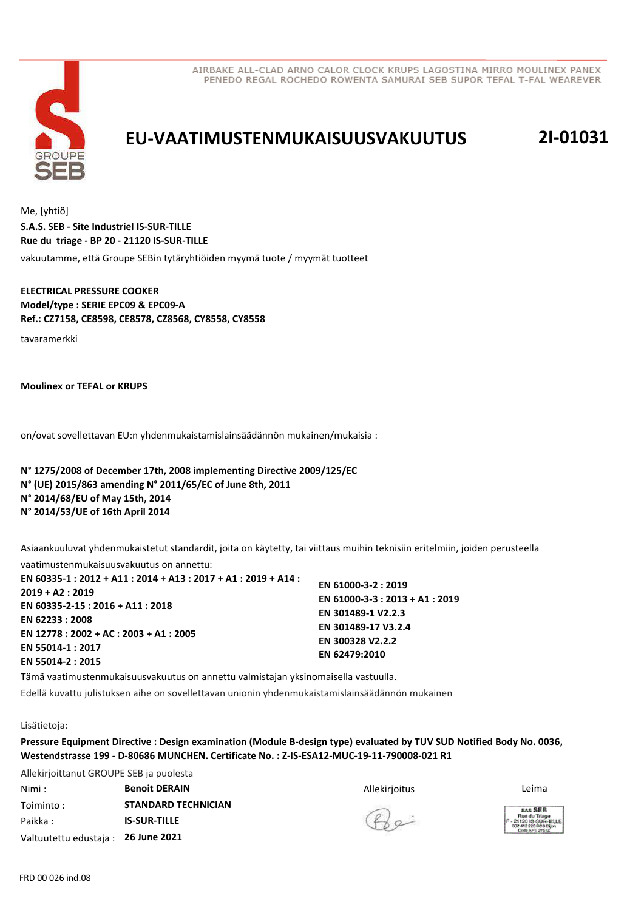

# **EU-VAATIMUSTENMUKAISUUSVAKUUTUS 2I-01031**

Me, [yhtiö] vakuutamme, että Groupe SEBin tytäryhtiöiden myymä tuote / myymät tuotteet **S.A.S. SEB - Site Industriel IS-SUR-TILLE Rue du triage - BP 20 - 21120 IS-SUR-TILLE**

**ELECTRICAL PRESSURE COOKER Model/type : SERIE EPC09 & EPC09-A Ref.: CZ7158, CE8598, CE8578, CZ8568, CY8558, CY8558**

tavaramerkki

**Moulinex or TEFAL or KRUPS**

on/ovat sovellettavan EU:n yhdenmukaistamislainsäädännön mukainen/mukaisia :

**N° 1275/2008 of December 17th, 2008 implementing Directive 2009/125/EC N° (UE) 2015/863 amending N° 2011/65/EC of June 8th, 2011 N° 2014/68/EU of May 15th, 2014 N° 2014/53/UE of 16th April 2014**

Asiaankuuluvat yhdenmukaistetut standardit, joita on käytetty, tai viittaus muihin teknisiin eritelmiin, joiden perusteella vaatimustenmukaisuusvakuutus on annettu:

| EN 60335-1 : 2012 + A11 : 2014 + A13 : 2017 + A1 : 2019 + A14 :<br>2019 + A2: 2019<br>EN 60335-2-15 : 2016 + A11 : 2018<br>EN 62233:2008<br>EN 12778 : 2002 + AC : 2003 + A1 : 2005<br>EN 55014-1:2017 | EN 61000-3-2: 2019<br>EN 61000-3-3 : 2013 + A1 : 2019<br>EN 301489-1 V2.2.3<br>EN 301489-17 V3.2.4<br>EN 300328 V2.2.2<br>EN 62479:2010 |
|--------------------------------------------------------------------------------------------------------------------------------------------------------------------------------------------------------|-----------------------------------------------------------------------------------------------------------------------------------------|
| EN 55014-2 : 2015                                                                                                                                                                                      |                                                                                                                                         |
|                                                                                                                                                                                                        |                                                                                                                                         |

Tämä vaatimustenmukaisuusvakuutus on annettu valmistajan yksinomaisella vastuulla.

Edellä kuvattu julistuksen aihe on sovellettavan unionin yhdenmukaistamislainsäädännön mukainen

#### Lisätietoja:

 $\lambda$ llekirjoittanut GROUPE SEB ja puolestaanut Valle

**Pressure Equipment Directive : Design examination (Module B-design type) evaluated by TUV SUD Notified Body No. 0036, Westendstrasse 199 - D-80686 MUNCHEN. Certificate No. : Z-IS-ESA12-MUC-19-11-790008-021 R1**

| Allekirjoittanut GROUPE SEB ja puolesta |                            |               |                                                                   |
|-----------------------------------------|----------------------------|---------------|-------------------------------------------------------------------|
| Nimi :                                  | <b>Benoit DERAIN</b>       | Allekirjoitus | Leima                                                             |
| Toiminto:                               | <b>STANDARD TECHNICIAN</b> |               | <b>SAS SEB</b>                                                    |
| Paikka:                                 | <b>IS-SUR-TILLE</b>        | $Q_{\alpha}$  | Rue du Triag<br>- 21120 IS-SUR<br>302 412 226 RCS<br>Code APE 276 |
| Valtuutettu edustaja :                  | 26 June 2021               |               |                                                                   |

**SAS SEB**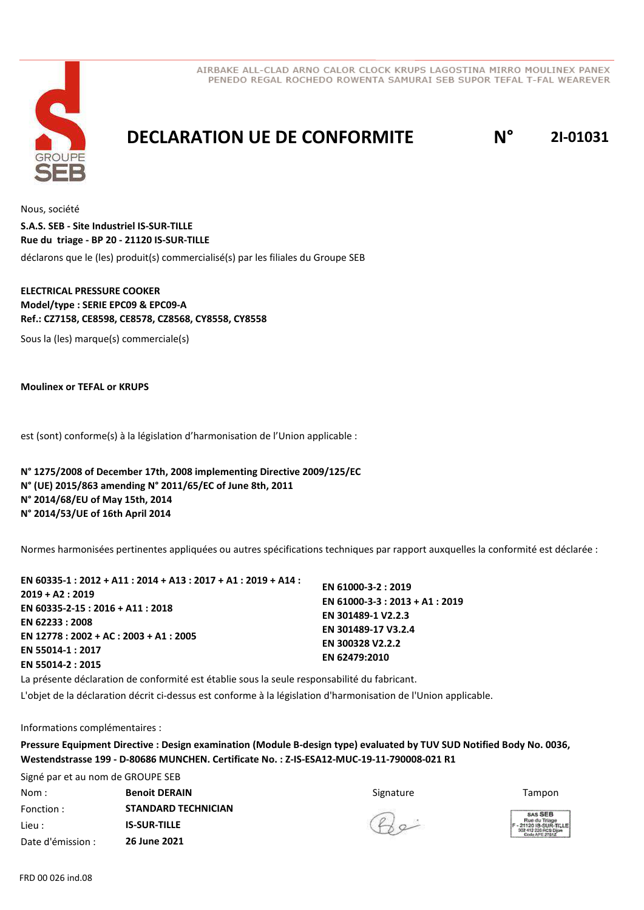



### **DECLARATION UE DE CONFORMITE N° 2I-01031**

Nous, société déclarons que le (les) produit(s) commercialisé(s) par les filiales du Groupe SEB **S.A.S. SEB - Site Industriel IS-SUR-TILLE Rue du triage - BP 20 - 21120 IS-SUR-TILLE**

### **ELECTRICAL PRESSURE COOKER Model/type : SERIE EPC09 & EPC09-A Ref.: CZ7158, CE8598, CE8578, CZ8568, CY8558, CY8558**

Sous la (les) marque(s) commerciale(s)

**Moulinex or TEFAL or KRUPS**

est (sont) conforme(s) à la législation d'harmonisation de l'Union applicable :

**N° 1275/2008 of December 17th, 2008 implementing Directive 2009/125/EC N° (UE) 2015/863 amending N° 2011/65/EC of June 8th, 2011 N° 2014/68/EU of May 15th, 2014 N° 2014/53/UE of 16th April 2014**

Normes harmonisées pertinentes appliquées ou autres spécifications techniques par rapport auxquelles la conformité est déclarée :

| EN 60335-1 : 2012 + A11 : 2014 + A13 : 2017 + A1 : 2019 + A14 : |                                 |
|-----------------------------------------------------------------|---------------------------------|
| $2019 + A2:2019$                                                | EN 61000-3-2: 2019              |
|                                                                 | EN 61000-3-3 : 2013 + A1 : 2019 |
| EN 60335-2-15 : 2016 + A11 : 2018                               | EN 301489-1 V2.2.3              |
| EN 62233 : 2008                                                 |                                 |
| EN 12778 : 2002 + AC : 2003 + A1 : 2005                         | EN 301489-17 V3.2.4             |
| EN 55014-1:2017                                                 | EN 300328 V2.2.2                |
|                                                                 | EN 62479:2010                   |
| EN 55014-2 : 2015                                               |                                 |

La présente déclaration de conformité est établie sous la seule responsabilité du fabricant.

L'objet de la déclaration décrit ci-dessus est conforme à la législation d'harmonisation de l'Union applicable.

Informations complémentaires :

**Pressure Equipment Directive : Design examination (Module B-design type) evaluated by TUV SUD Notified Body No. 0036, Westendstrasse 199 - D-80686 MUNCHEN. Certificate No. : Z-IS-ESA12-MUC-19-11-790008-021 R1**

Signé par et au nom de GROUPE SEB **Nom : The Superint DERAIN** The State of the Signature of Signature Tampon Tampon Fonction : Lieu : Date d'émission : **STANDARD TECHNICIAN IS-SUR-TILLE 26 June 2021**

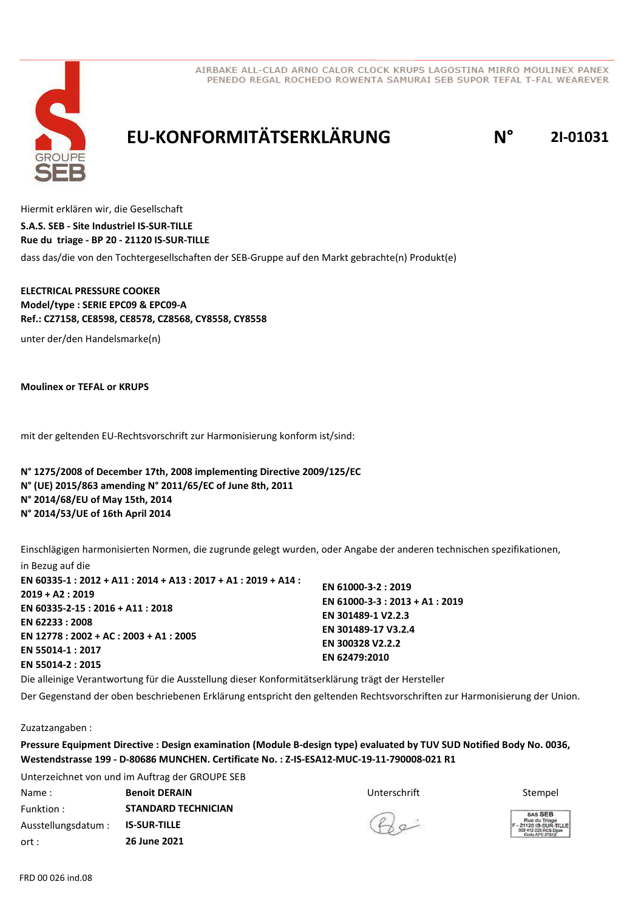

# **EU-KONFORMITÄTSERKLÄRUNG N° 2I-01031**

Hiermit erklären wir, die Gesellschaft dass das/die von den Tochtergesellschaften der SEB-Gruppe auf den Markt gebrachte(n) Produkt(e) **S.A.S. SEB - Site Industriel IS-SUR-TILLE Rue du triage - BP 20 - 21120 IS-SUR-TILLE**

**ELECTRICAL PRESSURE COOKER Model/type : SERIE EPC09 & EPC09-A Ref.: CZ7158, CE8598, CE8578, CZ8568, CY8558, CY8558**

unter der/den Handelsmarke(n)

**Moulinex or TEFAL or KRUPS**

mit der geltenden EU-Rechtsvorschrift zur Harmonisierung konform ist/sind:

**N° 1275/2008 of December 17th, 2008 implementing Directive 2009/125/EC N° (UE) 2015/863 amending N° 2011/65/EC of June 8th, 2011 N° 2014/68/EU of May 15th, 2014 N° 2014/53/UE of 16th April 2014**

Einschlägigen harmonisierten Normen, die zugrunde gelegt wurden, oder Angabe der anderen technischen spezifikationen, in Bezug auf die

**EN 60335-1 : 2012 + A11 : 2014 + A13 : 2017 + A1 : 2019 + A14 : 2019 + A2 : 2019 EN 60335-2-15 : 2016 + A11 : 2018 EN 62233 : 2008 EN 12778 : 2002 + AC : 2003 + A1 : 2005 EN 55014-1 : 2017 EN 55014-2 : 2015 EN 61000-3-2 : 2019 EN 61000-3-3 : 2013 + A1 : 2019 EN 301489-1 V2.2.3 EN 301489-17 V3.2.4 EN 300328 V2.2.2 EN 62479:2010**

Die alleinige Verantwortung für die Ausstellung dieser Konformitätserklärung trägt der Hersteller

Der Gegenstand der oben beschriebenen Erklärung entspricht den geltenden Rechtsvorschriften zur Harmonisierung der Union.

Zuzatzangaben :

**Pressure Equipment Directive : Design examination (Module B-design type) evaluated by TUV SUD Notified Body No. 0036, Westendstrasse 199 - D-80686 MUNCHEN. Certificate No. : Z-IS-ESA12-MUC-19-11-790008-021 R1**

Unterzeichnet von und im Auftrag der GROUPE SEB **Name : Stempel & Benoit DERAIN BENOIT STEMPEL BENOITE STEMPEL STEMPEL STEMPEL STEMPEL STEMPEL STEMPEL STEMPEL** Funktion : Ausstellungsdatum : ort : **STANDARD TECHNICIAN IS-SUR-TILLE 26 June 2021**

 $\mathcal{Q}_{\alpha}$ 

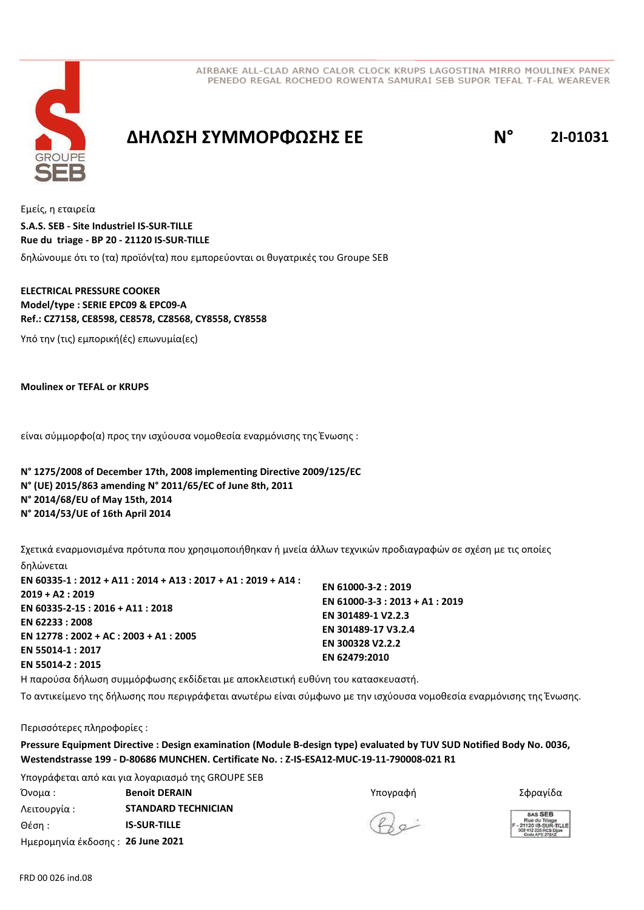



### **ΔΗΛΩΣΗ ΣΥΜΜΟΡΦΩΣΗΣ ΕΕ N° 2I-01031**

Εμείς, η εταιρεία δηλώνουμε ότι το (τα) προϊόν(τα) που εμπορεύονται οι θυγατρικές του Groupe SEB **S.A.S. SEB - Site Industriel IS-SUR-TILLE Rue du triage - BP 20 - 21120 IS-SUR-TILLE**

### **ELECTRICAL PRESSURE COOKER Model/type : SERIE EPC09 & EPC09-A Ref.: CZ7158, CE8598, CE8578, CZ8568, CY8558, CY8558**

Υπό την (τις) εμπορική(ές) επωνυμία(ες)

**Moulinex or TEFAL or KRUPS**

είναι σύμμορφο(α) προς την ισχύουσα νομοθεσία εναρμόνισης της Ένωσης :

**N° 1275/2008 of December 17th, 2008 implementing Directive 2009/125/EC N° (UE) 2015/863 amending N° 2011/65/EC of June 8th, 2011 N° 2014/68/EU of May 15th, 2014 N° 2014/53/UE of 16th April 2014**

Σχετικά εναρμονισμένα πρότυπα που χρησιμοποιήθηκαν ή μνεία άλλων τεχνικών προδιαγραφών σε σχέση µε τις οποίες δηλώνεται

**EN 60335-1 : 2012 + A11 : 2014 + A13 : 2017 + A1 : 2019 + A14 : 2019 + A2 : 2019 EN 60335-2-15 : 2016 + A11 : 2018 EN 62233 : 2008 EN 12778 : 2002 + AC : 2003 + A1 : 2005 EN 55014-1 : 2017 EN 55014-2 : 2015 EN 61000-3-2 : 2019 EN 61000-3-3 : 2013 + A1 : 2019 EN 301489-1 V2.2.3 EN 301489-17 V3.2.4 EN 300328 V2.2.2 EN 62479:2010**

Η παρούσα δήλωση συμμόρφωσης εκδίδεται µε αποκλειστική ευθύνη του κατασκευαστή.

Το αντικείμενο της δήλωσης που περιγράφεται ανωτέρω είναι σύμφωνο με την ισχύουσα νομοθεσία εναρμόνισης της Ένωσης.

Περισσότερες πληροφορίες :

**Pressure Equipment Directive : Design examination (Module B-design type) evaluated by TUV SUD Notified Body No. 0036, Westendstrasse 199 - D-80686 MUNCHEN. Certificate No. : Z-IS-ESA12-MUC-19-11-790008-021 R1**

Υπογράφεται από και για λογαριασμό της GROUPE SEB Όνομα : Υπογραφή **Benoit DERAIN** Σφραγίδα Λειτουργία : Θέση : Ημερομηνία έκδοσης : **26 June 2021 STANDARD TECHNICIAN IS-SUR-TILLE**

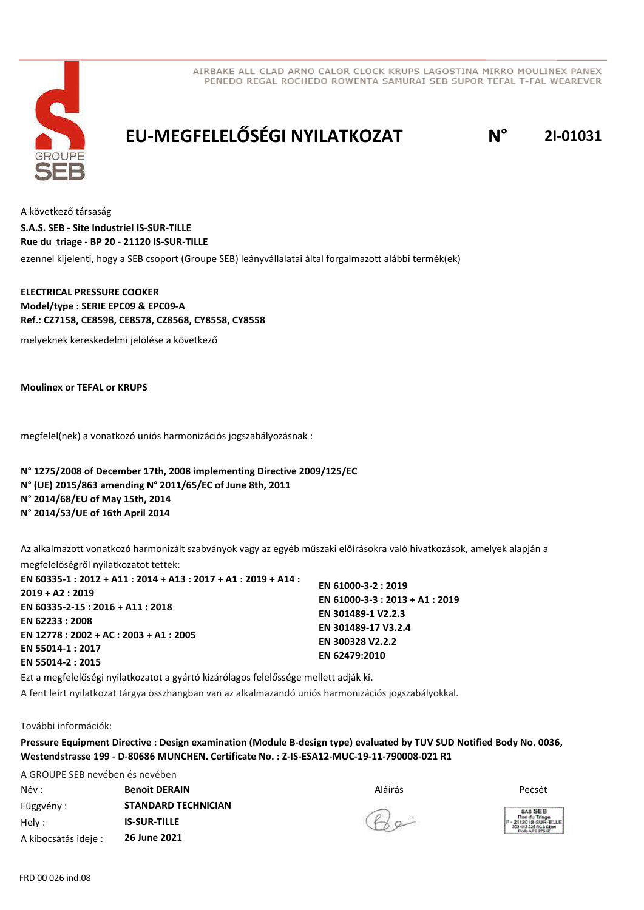



# **EU-MEGFELELŐSÉGI NYILATKOZAT N° 2I-01031**

A következő társaság ezennel kijelenti, hogy a SEB csoport (Groupe SEB) leányvállalatai által forgalmazott alábbi termék(ek) **S.A.S. SEB - Site Industriel IS-SUR-TILLE Rue du triage - BP 20 - 21120 IS-SUR-TILLE**

**ELECTRICAL PRESSURE COOKER Model/type : SERIE EPC09 & EPC09-A Ref.: CZ7158, CE8598, CE8578, CZ8568, CY8558, CY8558**

melyeknek kereskedelmi jelölése a következő

**Moulinex or TEFAL or KRUPS**

megfelel(nek) a vonatkozó uniós harmonizációs jogszabályozásnak :

**N° 1275/2008 of December 17th, 2008 implementing Directive 2009/125/EC N° (UE) 2015/863 amending N° 2011/65/EC of June 8th, 2011 N° 2014/68/EU of May 15th, 2014 N° 2014/53/UE of 16th April 2014**

Az alkalmazott vonatkozó harmonizált szabványok vagy az egyéb műszaki előírásokra való hivatkozások, amelyek alapján a megfelelőségről nyilatkozatot tettek:

| EN 60335-1 : 2012 + A11 : 2014 + A13 : 2017 + A1 : 2019 + A14 : |                                 |
|-----------------------------------------------------------------|---------------------------------|
| $2019 + A2: 2019$                                               | EN 61000-3-2: 2019              |
| EN 60335-2-15 : 2016 + A11 : 2018                               | EN 61000-3-3 : 2013 + A1 : 2019 |
|                                                                 | EN 301489-1 V2.2.3              |
| EN 62233:2008                                                   | EN 301489-17 V3.2.4             |
| EN 12778 : 2002 + AC : 2003 + A1 : 2005                         | EN 300328 V2.2.2                |
| EN 55014-1:2017                                                 | EN 62479:2010                   |
| EN 55014-2:2015                                                 |                                 |
|                                                                 |                                 |

Ezt a megfelelőségi nyilatkozatot a gyártó kizárólagos felelőssége mellett adják ki. A fent leírt nyilatkozat tárgya összhangban van az alkalmazandó uniós harmonizációs jogszabályokkal.

#### További információk:

**Pressure Equipment Directive : Design examination (Module B-design type) evaluated by TUV SUD Notified Body No. 0036, Westendstrasse 199 - D-80686 MUNCHEN. Certificate No. : Z-IS-ESA12-MUC-19-11-790008-021 R1**

A GROUPE SEB nevében és nevében Név : Aláírás Függvény : Hely : A kibocsátás ideje : **Benoit DERAIN** Pecsét **STANDARD TECHNICIAN IS-SUR-TILLE 26 June 2021**

 $Q_{\alpha}$ 

**SAS SEB**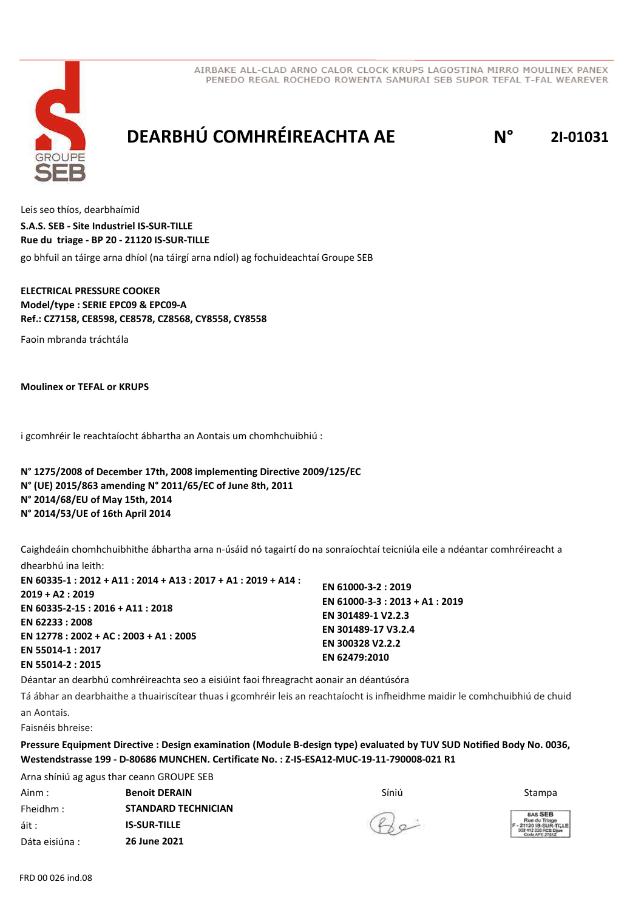

# **DEARBHÚ COMHRÉIREACHTA AE N° 2I-01031**

Leis seo thíos, dearbhaímid go bhfuil an táirge arna dhíol (na táirgí arna ndíol) ag fochuideachtaí Groupe SEB **S.A.S. SEB - Site Industriel IS-SUR-TILLE Rue du triage - BP 20 - 21120 IS-SUR-TILLE**

**ELECTRICAL PRESSURE COOKER Model/type : SERIE EPC09 & EPC09-A Ref.: CZ7158, CE8598, CE8578, CZ8568, CY8558, CY8558**

Faoin mbranda tráchtála

**Moulinex or TEFAL or KRUPS**

i gcomhréir le reachtaíocht ábhartha an Aontais um chomhchuibhiú :

**N° 1275/2008 of December 17th, 2008 implementing Directive 2009/125/EC N° (UE) 2015/863 amending N° 2011/65/EC of June 8th, 2011 N° 2014/68/EU of May 15th, 2014 N° 2014/53/UE of 16th April 2014**

Caighdeáin chomhchuibhithe ábhartha arna n-úsáid nó tagairtí do na sonraíochtaí teicniúla eile a ndéantar comhréireacht a dhearbhú ina leith:

**EN 60335-1 : 2012 + A11 : 2014 + A13 : 2017 + A1 : 2019 + A14 : 2019 + A2 : 2019 EN 60335-2-15 : 2016 + A11 : 2018 EN 62233 : 2008 EN 12778 : 2002 + AC : 2003 + A1 : 2005 EN 55014-1 : 2017 EN 55014-2 : 2015 EN 61000-3-2 : 2019 EN 61000-3-3 : 2013 + A1 : 2019 EN 301489-1 V2.2.3 EN 301489-17 V3.2.4 EN 300328 V2.2.2 EN 62479:2010**

Déantar an dearbhú comhréireachta seo a eisiúint faoi fhreagracht aonair an déantúsóra

Tá ábhar an dearbhaithe a thuairiscítear thuas i gcomhréir leis an reachtaíocht is infheidhme maidir le comhchuibhiú de chuid an Aontais.

Faisnéis bhreise:

**Pressure Equipment Directive : Design examination (Module B-design type) evaluated by TUV SUD Notified Body No. 0036, Westendstrasse 199 - D-80686 MUNCHEN. Certificate No. : Z-IS-ESA12-MUC-19-11-790008-021 R1**

Arna shíniú ag agus thar ceann GROUPE SEB Ainm : Síniú **Benoit DERAIN** Stampa Fheidhm : áit : Dáta eisiúna : **STANDARD TECHNICIAN IS-SUR-TILLE 26 June 2021**

 $2a-$ 

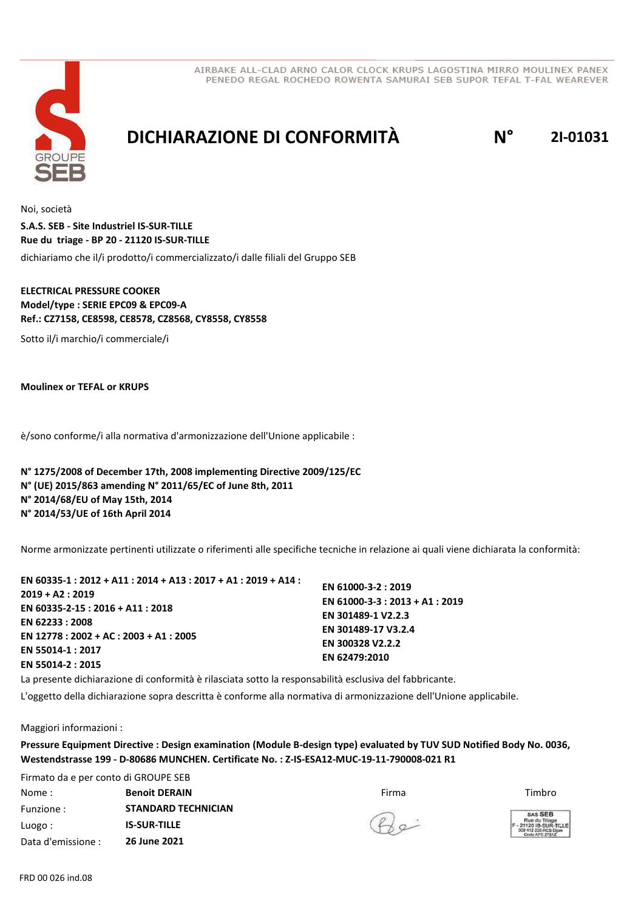



### **DICHIARAZIONE DI CONFORMITÀ N° 2I-01031**

Noi, società dichiariamo che il/i prodotto/i commercializzato/i dalle filiali del Gruppo SEB **S.A.S. SEB - Site Industriel IS-SUR-TILLE Rue du triage - BP 20 - 21120 IS-SUR-TILLE**

### **ELECTRICAL PRESSURE COOKER Model/type : SERIE EPC09 & EPC09-A Ref.: CZ7158, CE8598, CE8578, CZ8568, CY8558, CY8558**

Sotto il/i marchio/i commerciale/i

**Moulinex or TEFAL or KRUPS**

è/sono conforme/i alla normativa d'armonizzazione dell'Unione applicabile :

**N° 1275/2008 of December 17th, 2008 implementing Directive 2009/125/EC N° (UE) 2015/863 amending N° 2011/65/EC of June 8th, 2011 N° 2014/68/EU of May 15th, 2014 N° 2014/53/UE of 16th April 2014**

Norme armonizzate pertinenti utilizzate o riferimenti alle specifiche tecniche in relazione ai quali viene dichiarata la conformità:

| EN 60335-1 : 2012 + A11 : 2014 + A13 : 2017 + A1 : 2019 + A14 : |                                 |
|-----------------------------------------------------------------|---------------------------------|
| $2019 + A2: 2019$                                               | EN 61000-3-2: 2019              |
|                                                                 | EN 61000-3-3 : 2013 + A1 : 2019 |
| EN 60335-2-15 : 2016 + A11 : 2018                               | EN 301489-1 V2.2.3              |
| EN 62233:2008                                                   | EN 301489-17 V3.2.4             |
| EN 12778 : 2002 + AC : 2003 + A1 : 2005                         |                                 |
| EN 55014-1:2017                                                 | EN 300328 V2.2.2                |
|                                                                 | EN 62479:2010                   |
| EN 55014-2 : 2015                                               |                                 |

La presente dichiarazione di conformità è rilasciata sotto la responsabilità esclusiva del fabbricante.

L'oggetto della dichiarazione sopra descritta è conforme alla normativa di armonizzazione dell'Unione applicabile.

Maggiori informazioni :

**Pressure Equipment Directive : Design examination (Module B-design type) evaluated by TUV SUD Notified Body No. 0036, Westendstrasse 199 - D-80686 MUNCHEN. Certificate No. : Z-IS-ESA12-MUC-19-11-790008-021 R1**

Firmato da e per conto di GROUPE SEB **Nome : Senoit DERAIN** Timbro and the Sense of the Sense of the Sense of Timbro and Timbro and Timbro and Timbro Funzione : Luogo : Data d'emissione : **STANDARD TECHNICIAN IS-SUR-TILLE 26 June 2021**

 $B$ e

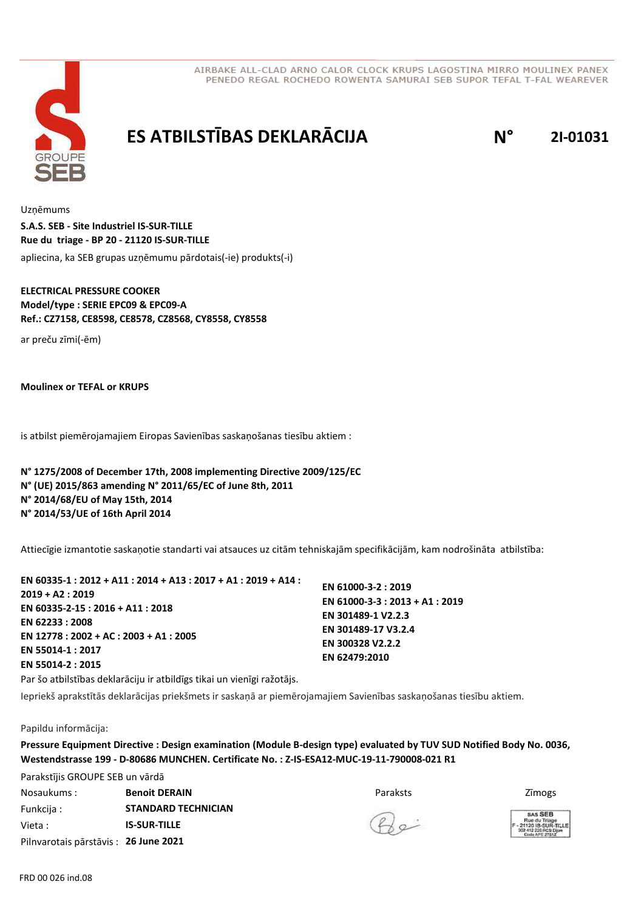



## **ES ATBILSTĪBAS DEKLARĀCIJA N° 2I-01031**

Uzņēmums apliecina, ka SEB grupas uzņēmumu pārdotais(-ie) produkts(-i) **S.A.S. SEB - Site Industriel IS-SUR-TILLE Rue du triage - BP 20 - 21120 IS-SUR-TILLE**

### **ELECTRICAL PRESSURE COOKER Model/type : SERIE EPC09 & EPC09-A Ref.: CZ7158, CE8598, CE8578, CZ8568, CY8558, CY8558**

ar preču zīmi(-ēm)

**Moulinex or TEFAL or KRUPS**

is atbilst piemērojamajiem Eiropas Savienības saskaņošanas tiesību aktiem :

**N° 1275/2008 of December 17th, 2008 implementing Directive 2009/125/EC N° (UE) 2015/863 amending N° 2011/65/EC of June 8th, 2011 N° 2014/68/EU of May 15th, 2014 N° 2014/53/UE of 16th April 2014**

Attiecīgie izmantotie saskaņotie standarti vai atsauces uz citām tehniskajām specifikācijām, kam nodrošināta atbilstība:

| EN 60335-1 : 2012 + A11 : 2014 + A13 : 2017 + A1 : 2019 + A14 : |                                 |
|-----------------------------------------------------------------|---------------------------------|
| $2019 + A2:2019$                                                | EN 61000-3-2: 2019              |
| EN 60335-2-15: 2016 + A11: 2018                                 | EN 61000-3-3 : 2013 + A1 : 2019 |
| EN 62233 : 2008                                                 | EN 301489-1 V2.2.3              |
| EN $12778:2002 + AC:2003 + A1:2005$                             | EN 301489-17 V3.2.4             |
| EN 55014-1:2017                                                 | EN 300328 V2.2.2                |
| EN 55014-2 : 2015                                               | EN 62479:2010                   |
|                                                                 |                                 |

Par šo atbilstības deklarāciju ir atbildīgs tikai un vienīgi ražotājs.

Iepriekš aprakstītās deklarācijas priekšmets ir saskaņā ar piemērojamajiem Savienības saskaņošanas tiesību aktiem.

Papildu informācija:

**Pressure Equipment Directive : Design examination (Module B-design type) evaluated by TUV SUD Notified Body No. 0036, Westendstrasse 199 - D-80686 MUNCHEN. Certificate No. : Z-IS-ESA12-MUC-19-11-790008-021 R1**

Parakstījis GROUPE SEB un vārdā Nosaukums : Paraksts Funkcija : Vieta : Pilnvarotais pārstāvis : **26 June 2021 Benoit DERAIN Branch Benoit DERAIN Z**īmogs **STANDARD TECHNICIAN IS-SUR-TILLE**

 $R$ e

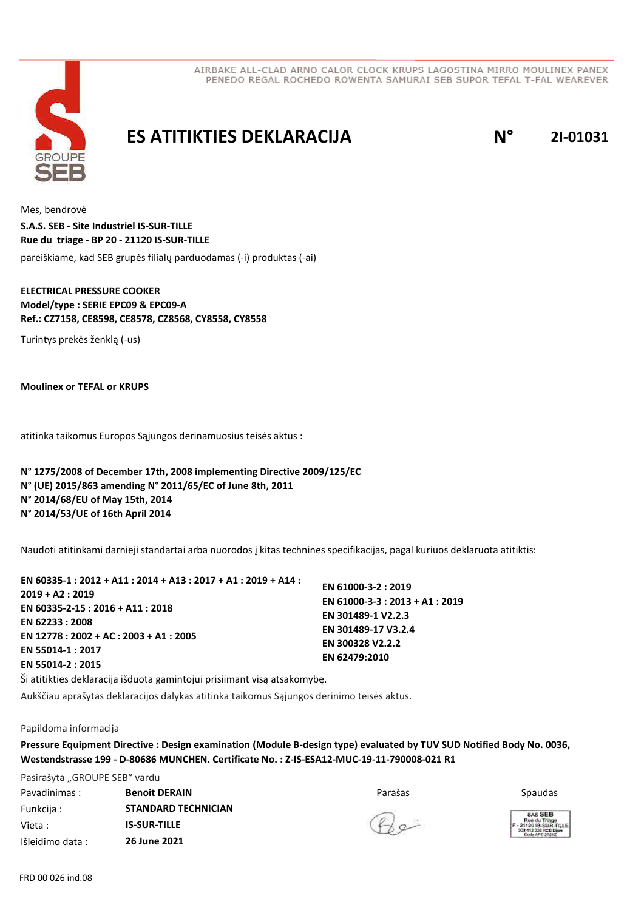



### **ES ATITIKTIES DEKLARACIJA N° 2I-01031**

Mes, bendrovė pareiškiame, kad SEB grupės filialų parduodamas (-i) produktas (-ai) **S.A.S. SEB - Site Industriel IS-SUR-TILLE Rue du triage - BP 20 - 21120 IS-SUR-TILLE**

### **ELECTRICAL PRESSURE COOKER Model/type : SERIE EPC09 & EPC09-A Ref.: CZ7158, CE8598, CE8578, CZ8568, CY8558, CY8558**

Turintys prekės ženklą (-us)

**Moulinex or TEFAL or KRUPS**

atitinka taikomus Europos Sąjungos derinamuosius teisės aktus :

**N° 1275/2008 of December 17th, 2008 implementing Directive 2009/125/EC N° (UE) 2015/863 amending N° 2011/65/EC of June 8th, 2011 N° 2014/68/EU of May 15th, 2014 N° 2014/53/UE of 16th April 2014**

Naudoti atitinkami darnieji standartai arba nuorodos į kitas technines specifikacijas, pagal kuriuos deklaruota atitiktis:

| EN 60335-1 : 2012 + A11 : 2014 + A13 : 2017 + A1 : 2019 + A14 : |                                 |
|-----------------------------------------------------------------|---------------------------------|
| $2019 + A2: 2019$                                               | EN 61000-3-2: 2019              |
| EN 60335-2-15 : 2016 + A11 : 2018                               | EN 61000-3-3 : 2013 + A1 : 2019 |
|                                                                 | EN 301489-1 V2.2.3              |
| EN 62233 : 2008                                                 | EN 301489-17 V3.2.4             |
| EN 12778 : 2002 + AC : 2003 + A1 : 2005                         | EN 300328 V2.2.2                |
| EN 55014-1 : 2017                                               |                                 |
| EN 55014-2 : 2015                                               | EN 62479:2010                   |
| $\sim$                                                          |                                 |

Ši atitikties deklaracija išduota gamintojui prisiimant visą atsakomybę.

Aukščiau aprašytas deklaracijos dalykas atitinka taikomus Sąjungos derinimo teisės aktus.

#### Papildoma informacija

**Pressure Equipment Directive : Design examination (Module B-design type) evaluated by TUV SUD Notified Body No. 0036, Westendstrasse 199 - D-80686 MUNCHEN. Certificate No. : Z-IS-ESA12-MUC-19-11-790008-021 R1**

Pasirašyta "GROUPE SEB" vardu Pavadinimas : Senoit DERAIN **Example 2018** Parašas Funkcija : Vieta : Išleidimo data : **Benoit DERAIN** Spaudas **Spaudas Spaudas Parašas** Spaudas **Spaudas STANDARD TECHNICIAN IS-SUR-TILLE 26 June 2021**

 $Q_{\alpha}$ 

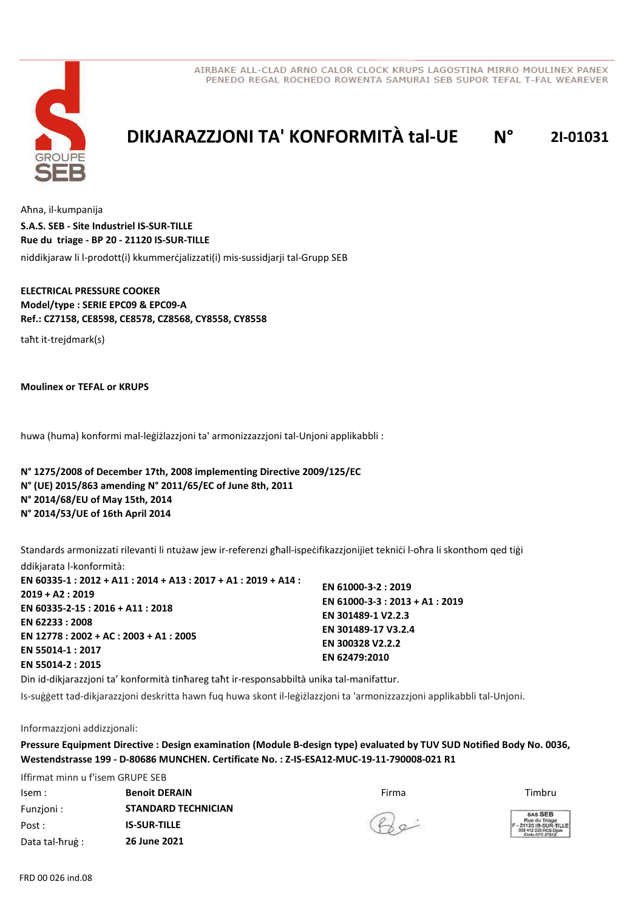



# **DIKJARAZZJONI TA' KONFORMITÀ tal-UE N° 2I-01031**

Aħna, il-kumpanija niddikjaraw li l-prodott(i) kkummerċjalizzati(i) mis-sussidjarji tal-Grupp SEB **S.A.S. SEB - Site Industriel IS-SUR-TILLE Rue du triage - BP 20 - 21120 IS-SUR-TILLE**

### **ELECTRICAL PRESSURE COOKER Model/type : SERIE EPC09 & EPC09-A Ref.: CZ7158, CE8598, CE8578, CZ8568, CY8558, CY8558**

taħt it-trejdmark(s)

**Moulinex or TEFAL or KRUPS**

huwa (huma) konformi mal-leġiżlazzjoni ta' armonizzazzjoni tal-Unjoni applikabbli :

**N° 1275/2008 of December 17th, 2008 implementing Directive 2009/125/EC N° (UE) 2015/863 amending N° 2011/65/EC of June 8th, 2011 N° 2014/68/EU of May 15th, 2014 N° 2014/53/UE of 16th April 2014**

Standards armonizzati rilevanti li ntużaw jew ir-referenzi għall-ispeċifikazzjonijiet tekniċi l-oħra li skonthom qed tiġi ddikjarata l-konformità:

| EN 60335-1 : 2012 + A11 : 2014 + A13 : 2017 + A1 : 2019 + A14 :<br>2019 + A2 : 2019<br>EN 60335-2-15 : 2016 + A11 : 2018<br>EN 62233 : 2008<br>EN 12778 : 2002 + AC : 2003 + A1 : 2005 | EN 61000-3-2: 2019<br>EN 61000-3-3 : 2013 + A1 : 2019<br>EN 301489-1 V2.2.3<br>EN 301489-17 V3.2.4 |
|----------------------------------------------------------------------------------------------------------------------------------------------------------------------------------------|----------------------------------------------------------------------------------------------------|
|                                                                                                                                                                                        | EN 300328 V2.2.2                                                                                   |
| EN 55014-1 : 2017<br>EN 55014-2 : 2015                                                                                                                                                 | EN 62479:2010                                                                                      |

Din id-dikjarazzjoni ta' konformità tinħareg taħt ir-responsabbiltà unika tal-manifattur.

Is-suġġett tad-dikjarazzjoni deskritta hawn fuq huwa skont il-leġiżlazzjoni ta 'armonizzazzjoni applikabbli tal-Unjoni.

Informazzjoni addizzjonali:

**Pressure Equipment Directive : Design examination (Module B-design type) evaluated by TUV SUD Notified Body No. 0036, Westendstrasse 199 - D-80686 MUNCHEN. Certificate No. : Z-IS-ESA12-MUC-19-11-790008-021 R1**

Iffirmat minn u f'isem GRUPE SEB Isem : Firma **Benoit DERAIN** Timbru Funzjoni : Post : Data tal-ħruġ : **STANDARD TECHNICIAN IS-SUR-TILLE 26 June 2021**

 $B$ e

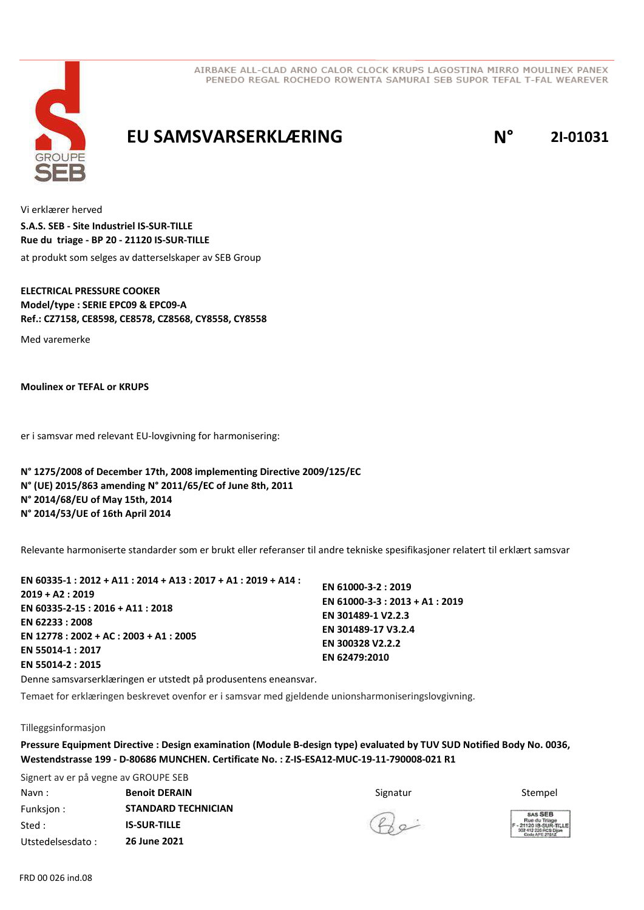

### **EU SAMSVARSERKLÆRING N° 2I-01031**

Vi erklærer herved at produkt som selges av datterselskaper av SEB Group **S.A.S. SEB - Site Industriel IS-SUR-TILLE Rue du triage - BP 20 - 21120 IS-SUR-TILLE**

**ELECTRICAL PRESSURE COOKER Model/type : SERIE EPC09 & EPC09-A Ref.: CZ7158, CE8598, CE8578, CZ8568, CY8558, CY8558**

Med varemerke

**Moulinex or TEFAL or KRUPS**

er i samsvar med relevant EU-lovgivning for harmonisering:

**N° 1275/2008 of December 17th, 2008 implementing Directive 2009/125/EC N° (UE) 2015/863 amending N° 2011/65/EC of June 8th, 2011 N° 2014/68/EU of May 15th, 2014 N° 2014/53/UE of 16th April 2014**

Relevante harmoniserte standarder som er brukt eller referanser til andre tekniske spesifikasjoner relatert til erklært samsvar

| EN 60335-1 : 2012 + A11 : 2014 + A13 : 2017 + A1 : 2019 + A14 : |                                 |
|-----------------------------------------------------------------|---------------------------------|
| $2019 + A2:2019$                                                | EN 61000-3-2: 2019              |
|                                                                 | EN 61000-3-3 : 2013 + A1 : 2019 |
| EN 60335-2-15 : 2016 + A11 : 2018                               | EN 301489-1 V2.2.3              |
| EN 62233 : 2008                                                 | EN 301489-17 V3.2.4             |
| EN 12778 : 2002 + AC : 2003 + A1 : 2005                         | EN 300328 V2.2.2                |
| EN 55014-1:2017                                                 | EN 62479:2010                   |
| EN 55014-2 : 2015                                               |                                 |
|                                                                 |                                 |

Denne samsvarserklæringen er utstedt på produsentens eneansvar.

Temaet for erklæringen beskrevet ovenfor er i samsvar med gjeldende unionsharmoniseringslovgivning.

#### Tilleggsinformasjon

**Pressure Equipment Directive : Design examination (Module B-design type) evaluated by TUV SUD Notified Body No. 0036, Westendstrasse 199 - D-80686 MUNCHEN. Certificate No. : Z-IS-ESA12-MUC-19-11-790008-021 R1**

Signert av er på vegne av GROUPE SEB Navn : Stempel **Benoit DERAIN Stempel and Stempel Stempel Stempel** Stempel Stempel Stempel Stempel Stempel Stempel Funksjon : Sted : Utstedelsesdato : **STANDARD TECHNICIAN IS-SUR-TILLE 26 June 2021**

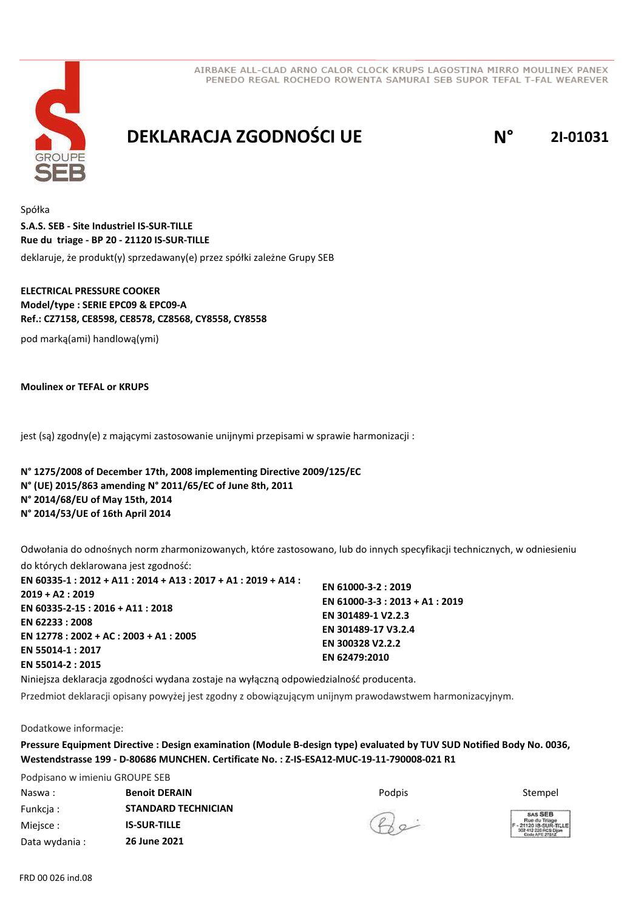



## **DEKLARACJA ZGODNOŚCI UE N° 2I-01031**

Spółka deklaruje, że produkt(y) sprzedawany(e) przez spółki zależne Grupy SEB **S.A.S. SEB - Site Industriel IS-SUR-TILLE Rue du triage - BP 20 - 21120 IS-SUR-TILLE**

### **ELECTRICAL PRESSURE COOKER Model/type : SERIE EPC09 & EPC09-A Ref.: CZ7158, CE8598, CE8578, CZ8568, CY8558, CY8558**

pod marką(ami) handlową(ymi)

**Moulinex or TEFAL or KRUPS**

jest (są) zgodny(e) z mającymi zastosowanie unijnymi przepisami w sprawie harmonizacji :

**N° 1275/2008 of December 17th, 2008 implementing Directive 2009/125/EC N° (UE) 2015/863 amending N° 2011/65/EC of June 8th, 2011 N° 2014/68/EU of May 15th, 2014 N° 2014/53/UE of 16th April 2014**

Odwołania do odnośnych norm zharmonizowanych, które zastosowano, lub do innych specyfikacji technicznych, w odniesieniu

do których deklarowana jest zgodność: **EN 60335-1 : 2012 + A11 : 2014 + A13 : 2017 + A1 : 2019 + A14 : 2019 + A2 : 2019 EN 60335-2-15 : 2016 + A11 : 2018 EN 62233 : 2008 EN 12778 : 2002 + AC : 2003 + A1 : 2005 EN 55014-1 : 2017 EN 55014-2 : 2015 EN 61000-3-2 : 2019 EN 61000-3-3 : 2013 + A1 : 2019 EN 301489-1 V2.2.3 EN 301489-17 V3.2.4 EN 300328 V2.2.2 EN 62479:2010**

Niniejsza deklaracja zgodności wydana zostaje na wyłączną odpowiedzialność producenta.

**STANDARD TECHNICIAN**

**IS-SUR-TILLE 26 June 2021**

Przedmiot deklaracji opisany powyżej jest zgodny z obowiązującym unijnym prawodawstwem harmonizacyjnym.

Dodatkowe informacje:

**Pressure Equipment Directive : Design examination (Module B-design type) evaluated by TUV SUD Notified Body No. 0036, Westendstrasse 199 - D-80686 MUNCHEN. Certificate No. : Z-IS-ESA12-MUC-19-11-790008-021 R1**

Podpisano w imieniu GROUPE SEB Naswa : **Benoit DERAIN BRAIN** The Stempel Books of *Podpis* Stempel Stempel Stempel

 $Q_{\alpha}$ 

SAS SEB tue du Triage<br>120 IS-SUR-T<br>412 226 ACS Die

Data wydania :

Funkcja : Miejsce :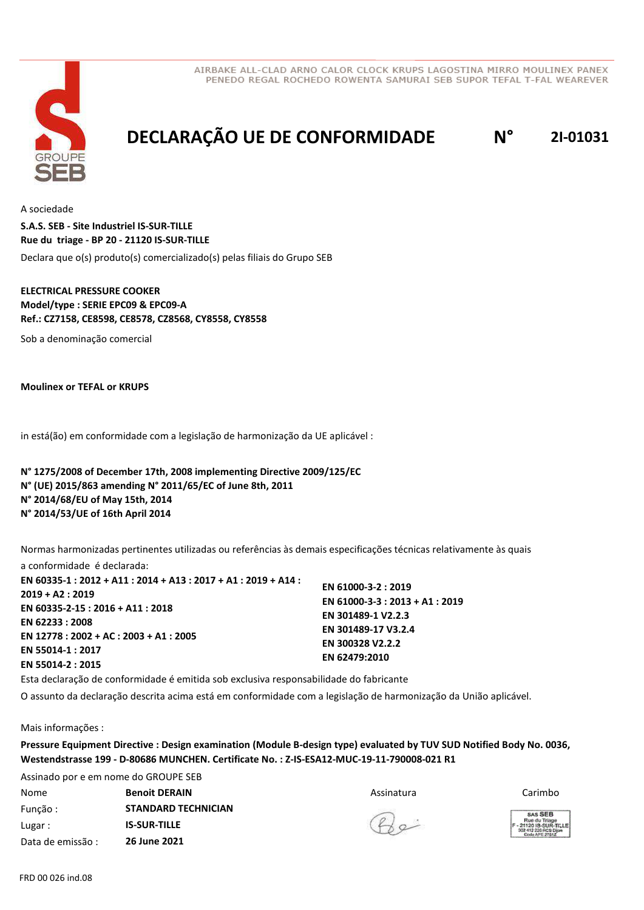

# **DECLARAÇÃO UE DE CONFORMIDADE N° 2I-01031**

A sociedade Declara que o(s) produto(s) comercializado(s) pelas filiais do Grupo SEB **S.A.S. SEB - Site Industriel IS-SUR-TILLE Rue du triage - BP 20 - 21120 IS-SUR-TILLE**

### **ELECTRICAL PRESSURE COOKER Model/type : SERIE EPC09 & EPC09-A Ref.: CZ7158, CE8598, CE8578, CZ8568, CY8558, CY8558**

Sob a denominação comercial

**Moulinex or TEFAL or KRUPS**

in está(ão) em conformidade com a legislação de harmonização da UE aplicável :

**N° 1275/2008 of December 17th, 2008 implementing Directive 2009/125/EC N° (UE) 2015/863 amending N° 2011/65/EC of June 8th, 2011 N° 2014/68/EU of May 15th, 2014 N° 2014/53/UE of 16th April 2014**

Normas harmonizadas pertinentes utilizadas ou referências às demais especificações técnicas relativamente às quais

a conformidade é declarada: **EN 60335-1 : 2012 + A11 : 2014 + A13 : 2017 + A1 : 2019 + A14 : 2019 + A2 : 2019 EN 60335-2-15 : 2016 + A11 : 2018 EN 62233 : 2008 EN 12778 : 2002 + AC : 2003 + A1 : 2005 EN 55014-1 : 2017 EN 55014-2 : 2015 EN 61000-3-2 : 2019 EN 61000-3-3 : 2013 + A1 : 2019 EN 301489-1 V2.2.3 EN 301489-17 V3.2.4 EN 300328 V2.2.2 EN 62479:2010**

Esta declaração de conformidade é emitida sob exclusiva responsabilidade do fabricante

O assunto da declaração descrita acima está em conformidade com a legislação de harmonização da União aplicável.

Mais informações :

**Pressure Equipment Directive : Design examination (Module B-design type) evaluated by TUV SUD Notified Body No. 0036, Westendstrasse 199 - D-80686 MUNCHEN. Certificate No. : Z-IS-ESA12-MUC-19-11-790008-021 R1**

Assinado por e em nome do GROUPE SEB Nome Assinatura **Benoit DERAIN** Carimbo Função : Lugar : Data de emissão : **STANDARD TECHNICIAN IS-SUR-TILLE 26 June 2021**

 $4a$ 

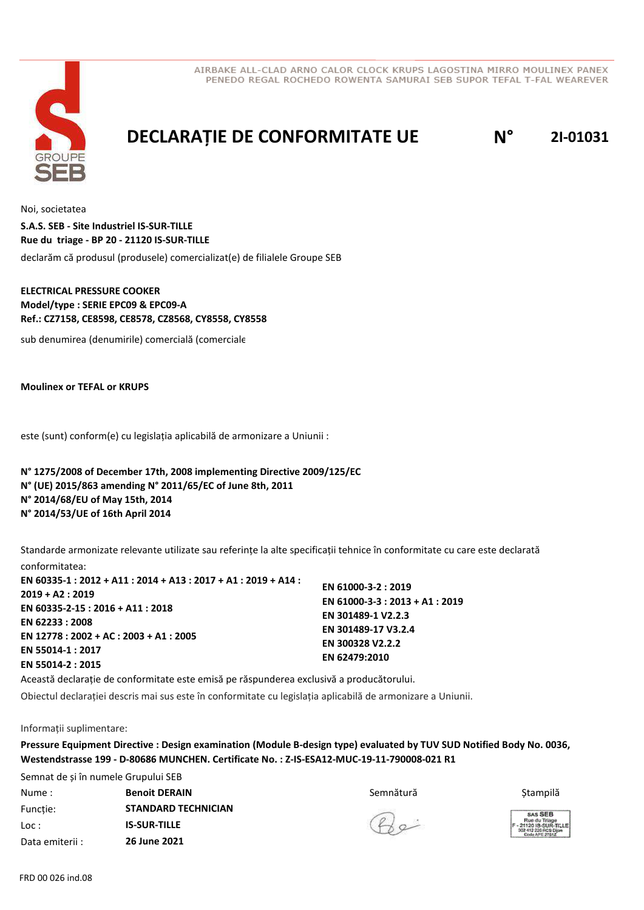

## **DECLARAȚIE DE CONFORMITATE UE N° 2I-01031**

Noi, societatea declarăm că produsul (produsele) comercializat(e) de filialele Groupe SEB **S.A.S. SEB - Site Industriel IS-SUR-TILLE Rue du triage - BP 20 - 21120 IS-SUR-TILLE**

### **ELECTRICAL PRESSURE COOKER Model/type : SERIE EPC09 & EPC09-A Ref.: CZ7158, CE8598, CE8578, CZ8568, CY8558, CY8558**

sub denumirea (denumirile) comercială (comerciale)

**Moulinex or TEFAL or KRUPS**

este (sunt) conform(e) cu legislația aplicabilă de armonizare a Uniunii :

### **N° 1275/2008 of December 17th, 2008 implementing Directive 2009/125/EC N° (UE) 2015/863 amending N° 2011/65/EC of June 8th, 2011 N° 2014/68/EU of May 15th, 2014 N° 2014/53/UE of 16th April 2014**

Standarde armonizate relevante utilizate sau referințe la alte specificații tehnice în conformitate cu care este declarată conformitatea:

| EN 60335-1 : 2012 + A11 : 2014 + A13 : 2017 + A1 : 2019 + A14 :<br>2019 + A2 : 2019<br>EN 60335-2-15 : 2016 + A11 : 2018<br>EN 62233 : 2008<br>EN 12778 : 2002 + AC : 2003 + A1 : 2005<br>EN 55014-1 : 2017<br>EN 55014-2 : 2015 | EN 61000-3-2: 2019<br>EN 61000-3-3 : 2013 + A1 : 2019<br>EN 301489-1 V2.2.3 |  |
|----------------------------------------------------------------------------------------------------------------------------------------------------------------------------------------------------------------------------------|-----------------------------------------------------------------------------|--|
|                                                                                                                                                                                                                                  | EN 301489-17 V3.2.4<br>EN 300328 V2.2.2<br>EN 62479:2010                    |  |

Această declarație de conformitate este emisă pe răspunderea exclusivă a producătorului.

Obiectul declarației descris mai sus este în conformitate cu legislația aplicabilă de armonizare a Uniunii.

Informații suplimentare:

**Pressure Equipment Directive : Design examination (Module B-design type) evaluated by TUV SUD Notified Body No. 0036, Westendstrasse 199 - D-80686 MUNCHEN. Certificate No. : Z-IS-ESA12-MUC-19-11-790008-021 R1**

Semnat de și în numele Grupului SEB Nume : Semnătură **Benoit DERAIN** Ștampilă Funcție: Loc : Data emiterii : **STANDARD TECHNICIAN IS-SUR-TILLE 26 June 2021**

 $Q_{\alpha}$ 

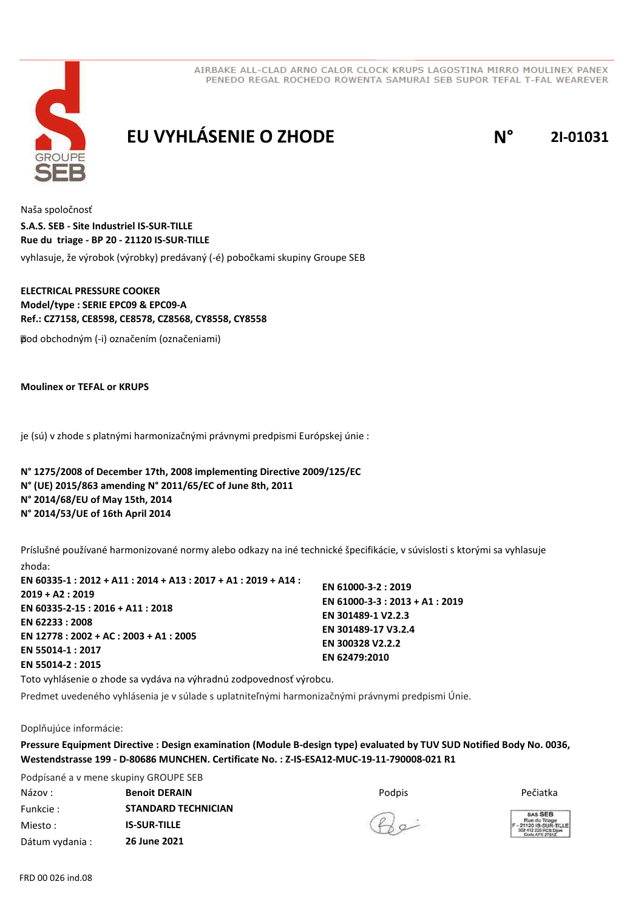

# **EU VYHLÁSENIE O ZHODE N° 2I-01031**

Naša spoločnosť vyhlasuje, že výrobok (výrobky) predávaný (-é) pobočkami skupiny Groupe SEB **S.A.S. SEB - Site Industriel IS-SUR-TILLE Rue du triage - BP 20 - 21120 IS-SUR-TILLE**

### **ELECTRICAL PRESSURE COOKER Model/type : SERIE EPC09 & EPC09-A Ref.: CZ7158, CE8598, CE8578, CZ8568, CY8558, CY8558**

 pod obchodným (-i) označením (označeniami)

**Moulinex or TEFAL or KRUPS**

je (sú) v zhode s platnými harmonizačnými právnymi predpismi Európskej únie :

### **N° 1275/2008 of December 17th, 2008 implementing Directive 2009/125/EC N° (UE) 2015/863 amending N° 2011/65/EC of June 8th, 2011 N° 2014/68/EU of May 15th, 2014 N° 2014/53/UE of 16th April 2014**

Príslušné používané harmonizované normy alebo odkazy na iné technické špecifikácie, v súvislosti s ktorými sa vyhlasuje zhoda:

**EN 60335-1 : 2012 + A11 : 2014 + A13 : 2017 + A1 : 2019 + A14 : 2019 + A2 : 2019 EN 60335-2-15 : 2016 + A11 : 2018 EN 62233 : 2008 EN 12778 : 2002 + AC : 2003 + A1 : 2005 EN 55014-1 : 2017 EN 55014-2 : 2015 EN 61000-3-2 : 2019 EN 61000-3-3 : 2013 + A1 : 2019 EN 301489-1 V2.2.3 EN 301489-17 V3.2.4 EN 300328 V2.2.2 EN 62479:2010**

Toto vyhlásenie o zhode sa vydáva na výhradnú zodpovednosť výrobcu.

Predmet uvedeného vyhlásenia je v súlade s uplatniteľnými harmonizačnými právnymi predpismi Únie.

Doplňujúce informácie:

**Pressure Equipment Directive : Design examination (Module B-design type) evaluated by TUV SUD Notified Body No. 0036, Westendstrasse 199 - D-80686 MUNCHEN. Certificate No. : Z-IS-ESA12-MUC-19-11-790008-021 R1**

Podpísané a v mene skupiny GROUPE SEB Názov : Podpis **Benoit DERAIN** Pečiatka Funkcie : Miesto : **STANDARD TECHNICIAN IS-SUR-TILLE**

Dátum vydania : **26 June 2021**

 $Q_{\alpha}$ 

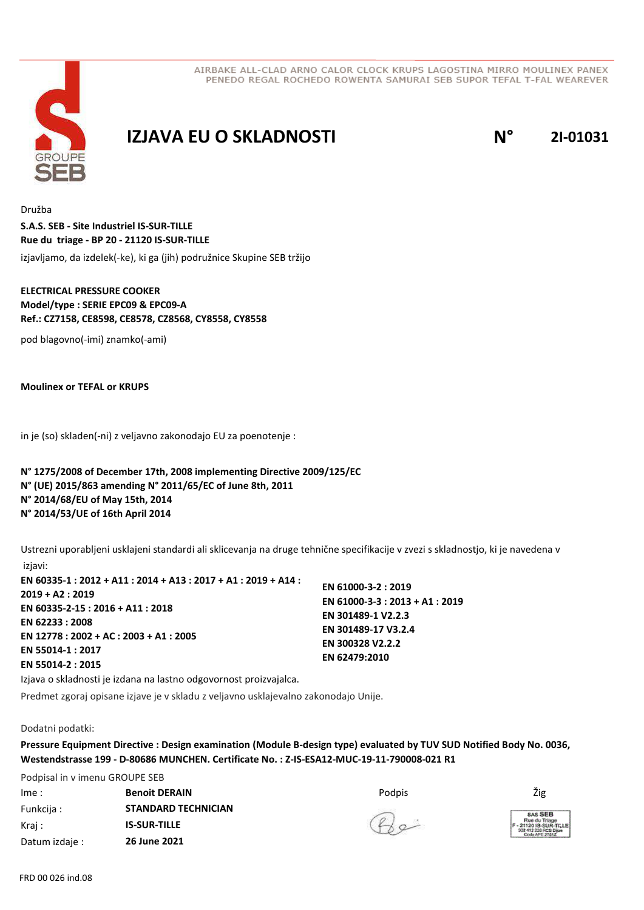

## **IZJAVA EU O SKLADNOSTI N° 2I-01031**

Družba izjavljamo, da izdelek(-ke), ki ga (jih) podružnice Skupine SEB tržijo **S.A.S. SEB - Site Industriel IS-SUR-TILLE Rue du triage - BP 20 - 21120 IS-SUR-TILLE**

### **ELECTRICAL PRESSURE COOKER Model/type : SERIE EPC09 & EPC09-A Ref.: CZ7158, CE8598, CE8578, CZ8568, CY8558, CY8558**

pod blagovno(-imi) znamko(-ami)

**Moulinex or TEFAL or KRUPS**

in je (so) skladen(-ni) z veljavno zakonodajo EU za poenotenje :

### **N° 1275/2008 of December 17th, 2008 implementing Directive 2009/125/EC N° (UE) 2015/863 amending N° 2011/65/EC of June 8th, 2011 N° 2014/68/EU of May 15th, 2014 N° 2014/53/UE of 16th April 2014**

Ustrezni uporabljeni usklajeni standardi ali sklicevanja na druge tehnične specifikacije v zvezi s skladnostjo, ki je navedena v izjavi:

**EN 60335-1 : 2012 + A11 : 2014 + A13 : 2017 + A1 : 2019 + A14 : 2019 + A2 : 2019 EN 60335-2-15 : 2016 + A11 : 2018 EN 62233 : 2008 EN 12778 : 2002 + AC : 2003 + A1 : 2005 EN 55014-1 : 2017 EN 55014-2 : 2015**

**EN 61000-3-2 : 2019 EN 61000-3-3 : 2013 + A1 : 2019 EN 301489-1 V2.2.3 EN 301489-17 V3.2.4 EN 300328 V2.2.2 EN 62479:2010**

Izjava o skladnosti je izdana na lastno odgovornost proizvajalca.

Predmet zgoraj opisane izjave je v skladu z veljavno usklajevalno zakonodajo Unije.

#### Dodatni podatki:

**Pressure Equipment Directive : Design examination (Module B-design type) evaluated by TUV SUD Notified Body No. 0036, Westendstrasse 199 - D-80686 MUNCHEN. Certificate No. : Z-IS-ESA12-MUC-19-11-790008-021 R1**

Podpisal in v imenu GROUPE SEB Ime : Podpis **Benoit DERAIN** Žig Funkcija : Kraj : Datum izdaje : **STANDARD TECHNICIAN IS-SUR-TILLE 26 June 2021**

 $Q_{\alpha}$ 

SAS SEB ue du Triage<br>20 IS-SUR-T<br>113 236 Prie Di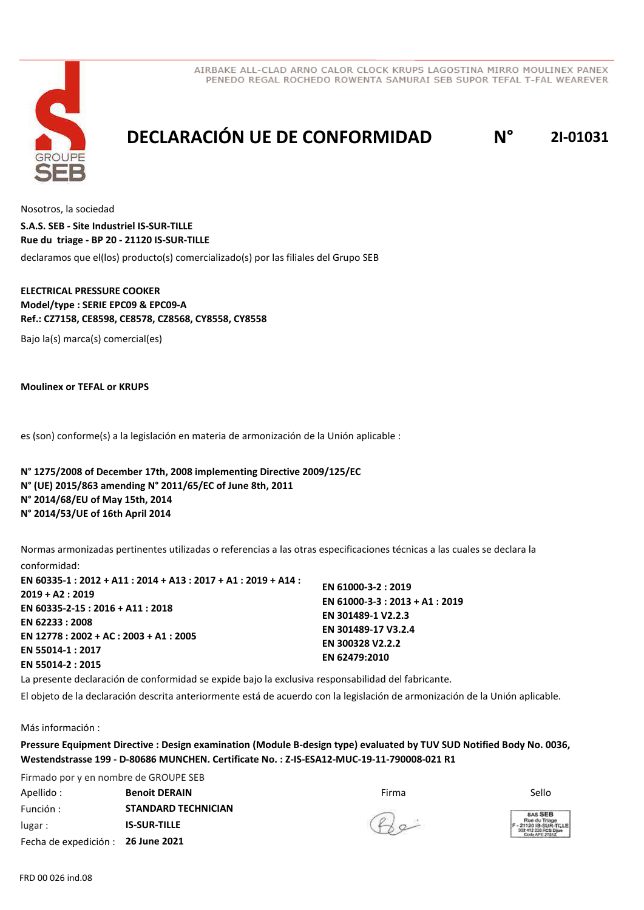

# **DECLARACIÓN UE DE CONFORMIDAD N° 2I-01031**

Nosotros, la sociedad declaramos que el(los) producto(s) comercializado(s) por las filiales del Grupo SEB **S.A.S. SEB - Site Industriel IS-SUR-TILLE Rue du triage - BP 20 - 21120 IS-SUR-TILLE**

### **ELECTRICAL PRESSURE COOKER Model/type : SERIE EPC09 & EPC09-A Ref.: CZ7158, CE8598, CE8578, CZ8568, CY8558, CY8558**

Bajo la(s) marca(s) comercial(es)

**Moulinex or TEFAL or KRUPS**

es (son) conforme(s) a la legislación en materia de armonización de la Unión aplicable :

**N° 1275/2008 of December 17th, 2008 implementing Directive 2009/125/EC N° (UE) 2015/863 amending N° 2011/65/EC of June 8th, 2011 N° 2014/68/EU of May 15th, 2014 N° 2014/53/UE of 16th April 2014**

Normas armonizadas pertinentes utilizadas o referencias a las otras especificaciones técnicas a las cuales se declara la conformidad:

| EN 60335-1 : 2012 + A11 : 2014 + A13 : 2017 + A1 : 2019 + A14 : | EN 61000-3-2: 2019              |  |
|-----------------------------------------------------------------|---------------------------------|--|
| $2019 + A2: 2019$                                               | EN 61000-3-3 : 2013 + A1 : 2019 |  |
| EN 60335-2-15 : 2016 + A11 : 2018                               | EN 301489-1 V2.2.3              |  |
| EN 62233:2008                                                   | EN 301489-17 V3.2.4             |  |
| EN 12778 : 2002 + AC : 2003 + A1 : 2005                         | EN 300328 V2.2.2                |  |
| EN 55014-1:2017                                                 | EN 62479:2010                   |  |
| EN 55014-2: 2015                                                |                                 |  |

La presente declaración de conformidad se expide bajo la exclusiva responsabilidad del fabricante.

El objeto de la declaración descrita anteriormente está de acuerdo con la legislación de armonización de la Unión aplicable.

Más información :

**Pressure Equipment Directive : Design examination (Module B-design type) evaluated by TUV SUD Notified Body No. 0036, Westendstrasse 199 - D-80686 MUNCHEN. Certificate No. : Z-IS-ESA12-MUC-19-11-790008-021 R1**

Firmado por y en nombre de GROUPE SEB Apellido : Firma **Benoit DERAIN** Sello Función : lugar : Fecha de expedición : **26 June 2021 STANDARD TECHNICIAN IS-SUR-TILLE**

 $B$ e

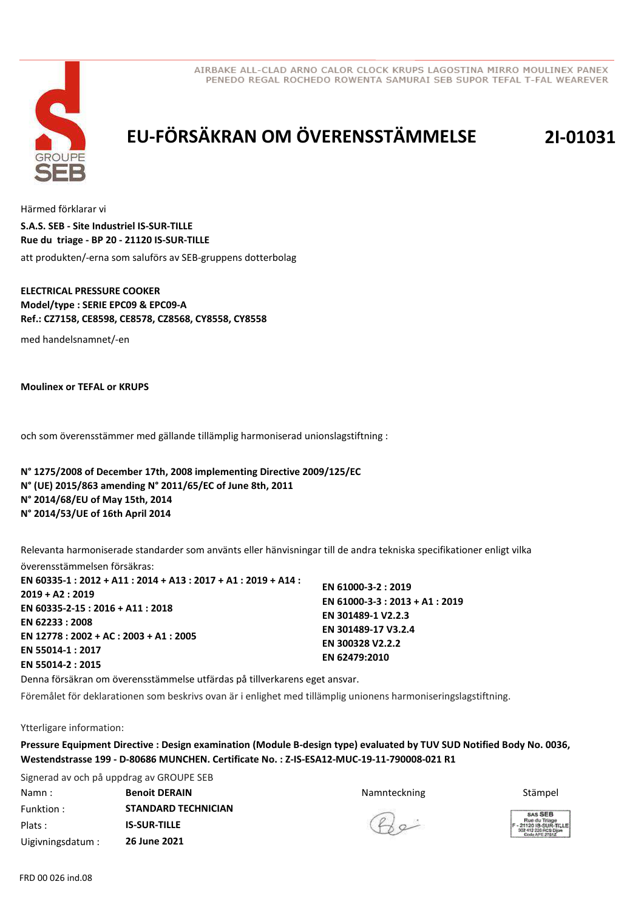



# **EU-FÖRSÄKRAN OM ÖVERENSSTÄMMELSE 2I-01031**

Härmed förklarar vi att produkten/-erna som saluförs av SEB-gruppens dotterbolag **S.A.S. SEB - Site Industriel IS-SUR-TILLE Rue du triage - BP 20 - 21120 IS-SUR-TILLE**

#### **ELECTRICAL PRESSURE COOKER Model/type : SERIE EPC09 & EPC09-A Ref.: CZ7158, CE8598, CE8578, CZ8568, CY8558, CY8558**

med handelsnamnet/-en

**Moulinex or TEFAL or KRUPS**

och som överensstämmer med gällande tillämplig harmoniserad unionslagstiftning :

**N° 1275/2008 of December 17th, 2008 implementing Directive 2009/125/EC N° (UE) 2015/863 amending N° 2011/65/EC of June 8th, 2011 N° 2014/68/EU of May 15th, 2014 N° 2014/53/UE of 16th April 2014**

Relevanta harmoniserade standarder som använts eller hänvisningar till de andra tekniska specifikationer enligt vilka

överensstämmelsen försäkras: **EN 60335-1 : 2012 + A11 : 2014 + A13 : 2017 + A1 : 2019 + A14 : 2019 + A2 : 2019 EN 60335-2-15 : 2016 + A11 : 2018 EN 62233 : 2008 EN 12778 : 2002 + AC : 2003 + A1 : 2005 EN 55014-1 : 2017 EN 55014-2 : 2015 EN 61000-3-2 : 2019 EN 61000-3-3 : 2013 + A1 : 2019 EN 301489-1 V2.2.3 EN 301489-17 V3.2.4 EN 300328 V2.2.2 EN 62479:2010**

Denna försäkran om överensstämmelse utfärdas på tillverkarens eget ansvar.

Föremålet för deklarationen som beskrivs ovan är i enlighet med tillämplig unionens harmoniseringslagstiftning.

Ytterligare information:

**Pressure Equipment Directive : Design examination (Module B-design type) evaluated by TUV SUD Notified Body No. 0036, Westendstrasse 199 - D-80686 MUNCHEN. Certificate No. : Z-IS-ESA12-MUC-19-11-790008-021 R1**

Signerad av och på uppdrag av GROUPE SEB Namn : **Benoit DERAIN Stämpel Benoit DERAIN Stämpel Stämpel Stämpel Stämpel** Funktion : Plats : Uigivningsdatum : **STANDARD TECHNICIAN IS-SUR-TILLE 26 June 2021**